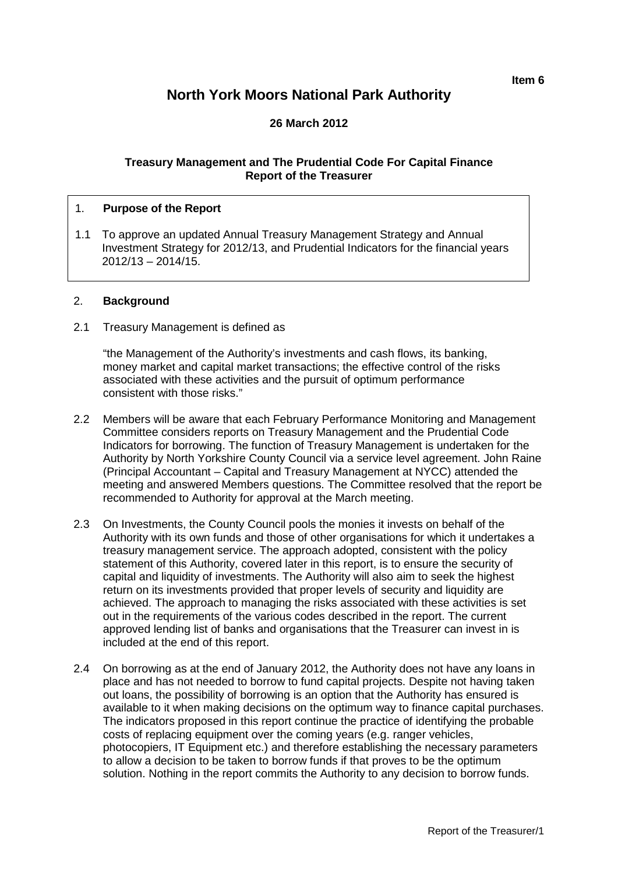# **North York Moors National Park Authority**

# **26 March 2012**

#### **Treasury Management and The Prudential Code For Capital Finance Report of the Treasurer**

#### 1. **Purpose of the Report**

1.1 To approve an updated Annual Treasury Management Strategy and Annual Investment Strategy for 2012/13, and Prudential Indicators for the financial years 2012/13 – 2014/15.

#### 2. **Background**

2.1 Treasury Management is defined as

"the Management of the Authority's investments and cash flows, its banking, money market and capital market transactions; the effective control of the risks associated with these activities and the pursuit of optimum performance consistent with those risks."

- 2.2 Members will be aware that each February Performance Monitoring and Management Committee considers reports on Treasury Management and the Prudential Code Indicators for borrowing. The function of Treasury Management is undertaken for the Authority by North Yorkshire County Council via a service level agreement. John Raine (Principal Accountant – Capital and Treasury Management at NYCC) attended the meeting and answered Members questions. The Committee resolved that the report be recommended to Authority for approval at the March meeting.
- 2.3 On Investments, the County Council pools the monies it invests on behalf of the Authority with its own funds and those of other organisations for which it undertakes a treasury management service. The approach adopted, consistent with the policy statement of this Authority, covered later in this report, is to ensure the security of capital and liquidity of investments. The Authority will also aim to seek the highest return on its investments provided that proper levels of security and liquidity are achieved. The approach to managing the risks associated with these activities is set out in the requirements of the various codes described in the report. The current approved lending list of banks and organisations that the Treasurer can invest in is included at the end of this report.
- 2.4 On borrowing as at the end of January 2012, the Authority does not have any loans in place and has not needed to borrow to fund capital projects. Despite not having taken out loans, the possibility of borrowing is an option that the Authority has ensured is available to it when making decisions on the optimum way to finance capital purchases. The indicators proposed in this report continue the practice of identifying the probable costs of replacing equipment over the coming years (e.g. ranger vehicles, photocopiers, IT Equipment etc.) and therefore establishing the necessary parameters to allow a decision to be taken to borrow funds if that proves to be the optimum solution. Nothing in the report commits the Authority to any decision to borrow funds.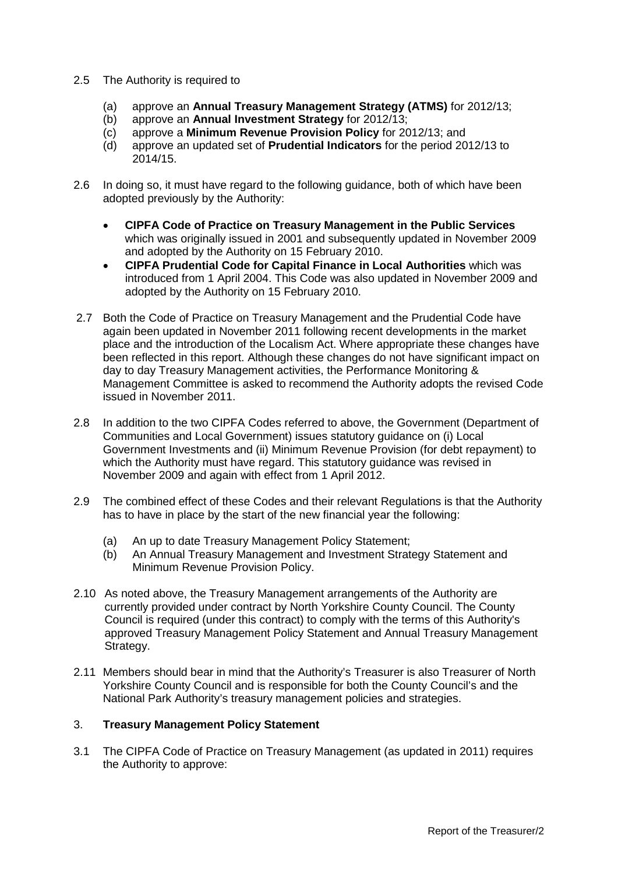- 2.5 The Authority is required to
	- (a) approve an **Annual Treasury Management Strategy (ATMS)** for 2012/13;
	- (b) approve an **Annual Investment Strategy** for 2012/13;
	- (c) approve a **Minimum Revenue Provision Policy** for 2012/13; and
	- (d) approve an updated set of **Prudential Indicators** for the period 2012/13 to 2014/15.
- 2.6 In doing so, it must have regard to the following guidance, both of which have been adopted previously by the Authority:
	- **CIPFA Code of Practice on Treasury Management in the Public Services** which was originally issued in 2001 and subsequently updated in November 2009 and adopted by the Authority on 15 February 2010.
	- **CIPFA Prudential Code for Capital Finance in Local Authorities** which was introduced from 1 April 2004. This Code was also updated in November 2009 and adopted by the Authority on 15 February 2010.
- 2.7 Both the Code of Practice on Treasury Management and the Prudential Code have again been updated in November 2011 following recent developments in the market place and the introduction of the Localism Act. Where appropriate these changes have been reflected in this report. Although these changes do not have significant impact on day to day Treasury Management activities, the Performance Monitoring & Management Committee is asked to recommend the Authority adopts the revised Code issued in November 2011.
- 2.8 In addition to the two CIPFA Codes referred to above, the Government (Department of Communities and Local Government) issues statutory guidance on (i) Local Government Investments and (ii) Minimum Revenue Provision (for debt repayment) to which the Authority must have regard. This statutory guidance was revised in November 2009 and again with effect from 1 April 2012.
- 2.9 The combined effect of these Codes and their relevant Regulations is that the Authority has to have in place by the start of the new financial year the following:
	- (a) An up to date Treasury Management Policy Statement;
	- (b) An Annual Treasury Management and Investment Strategy Statement and Minimum Revenue Provision Policy.
- 2.10 As noted above, the Treasury Management arrangements of the Authority are currently provided under contract by North Yorkshire County Council. The County Council is required (under this contract) to comply with the terms of this Authority's approved Treasury Management Policy Statement and Annual Treasury Management Strategy.
- 2.11 Members should bear in mind that the Authority's Treasurer is also Treasurer of North Yorkshire County Council and is responsible for both the County Council's and the National Park Authority's treasury management policies and strategies.

#### 3. **Treasury Management Policy Statement**

3.1 The CIPFA Code of Practice on Treasury Management (as updated in 2011) requires the Authority to approve: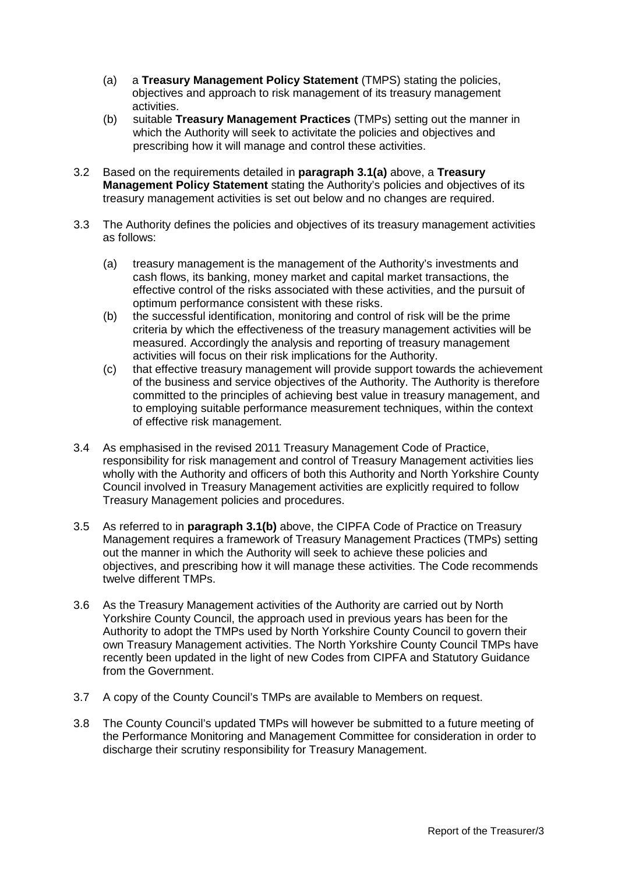- (a) a **Treasury Management Policy Statement** (TMPS) stating the policies, objectives and approach to risk management of its treasury management activities.
- (b) suitable **Treasury Management Practices** (TMPs) setting out the manner in which the Authority will seek to activitate the policies and objectives and prescribing how it will manage and control these activities.
- 3.2 Based on the requirements detailed in **paragraph 3.1(a)** above, a **Treasury Management Policy Statement** stating the Authority's policies and objectives of its treasury management activities is set out below and no changes are required.
- 3.3 The Authority defines the policies and objectives of its treasury management activities as follows:
	- (a) treasury management is the management of the Authority's investments and cash flows, its banking, money market and capital market transactions, the effective control of the risks associated with these activities, and the pursuit of optimum performance consistent with these risks.
	- (b) the successful identification, monitoring and control of risk will be the prime criteria by which the effectiveness of the treasury management activities will be measured. Accordingly the analysis and reporting of treasury management activities will focus on their risk implications for the Authority.
	- (c) that effective treasury management will provide support towards the achievement of the business and service objectives of the Authority. The Authority is therefore committed to the principles of achieving best value in treasury management, and to employing suitable performance measurement techniques, within the context of effective risk management.
- 3.4 As emphasised in the revised 2011 Treasury Management Code of Practice, responsibility for risk management and control of Treasury Management activities lies wholly with the Authority and officers of both this Authority and North Yorkshire County Council involved in Treasury Management activities are explicitly required to follow Treasury Management policies and procedures.
- 3.5 As referred to in **paragraph 3.1(b)** above, the CIPFA Code of Practice on Treasury Management requires a framework of Treasury Management Practices (TMPs) setting out the manner in which the Authority will seek to achieve these policies and objectives, and prescribing how it will manage these activities. The Code recommends twelve different TMPs.
- 3.6 As the Treasury Management activities of the Authority are carried out by North Yorkshire County Council, the approach used in previous years has been for the Authority to adopt the TMPs used by North Yorkshire County Council to govern their own Treasury Management activities. The North Yorkshire County Council TMPs have recently been updated in the light of new Codes from CIPFA and Statutory Guidance from the Government.
- 3.7 A copy of the County Council's TMPs are available to Members on request.
- 3.8 The County Council's updated TMPs will however be submitted to a future meeting of the Performance Monitoring and Management Committee for consideration in order to discharge their scrutiny responsibility for Treasury Management.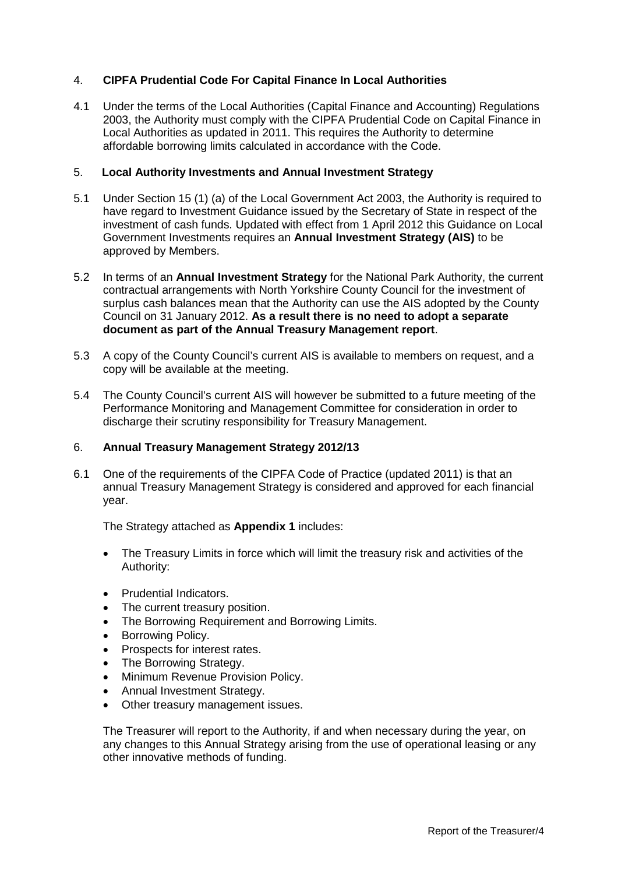# 4. **CIPFA Prudential Code For Capital Finance In Local Authorities**

4.1 Under the terms of the Local Authorities (Capital Finance and Accounting) Regulations 2003, the Authority must comply with the CIPFA Prudential Code on Capital Finance in Local Authorities as updated in 2011. This requires the Authority to determine affordable borrowing limits calculated in accordance with the Code.

#### 5. **Local Authority Investments and Annual Investment Strategy**

- 5.1 Under Section 15 (1) (a) of the Local Government Act 2003, the Authority is required to have regard to Investment Guidance issued by the Secretary of State in respect of the investment of cash funds. Updated with effect from 1 April 2012 this Guidance on Local Government Investments requires an **Annual Investment Strategy (AIS)** to be approved by Members.
- 5.2 In terms of an **Annual Investment Strategy** for the National Park Authority, the current contractual arrangements with North Yorkshire County Council for the investment of surplus cash balances mean that the Authority can use the AIS adopted by the County Council on 31 January 2012. **As a result there is no need to adopt a separate document as part of the Annual Treasury Management report**.
- 5.3 A copy of the County Council's current AIS is available to members on request, and a copy will be available at the meeting.
- 5.4 The County Council's current AIS will however be submitted to a future meeting of the Performance Monitoring and Management Committee for consideration in order to discharge their scrutiny responsibility for Treasury Management.

#### 6. **Annual Treasury Management Strategy 2012/13**

6.1 One of the requirements of the CIPFA Code of Practice (updated 2011) is that an annual Treasury Management Strategy is considered and approved for each financial year.

The Strategy attached as **Appendix 1** includes:

- The Treasury Limits in force which will limit the treasury risk and activities of the Authority:
- Prudential Indicators.
- The current treasury position.
- The Borrowing Requirement and Borrowing Limits.
- Borrowing Policy.
- Prospects for interest rates.
- The Borrowing Strategy.
- Minimum Revenue Provision Policy.
- Annual Investment Strategy.
- Other treasury management issues.

The Treasurer will report to the Authority, if and when necessary during the year, on any changes to this Annual Strategy arising from the use of operational leasing or any other innovative methods of funding.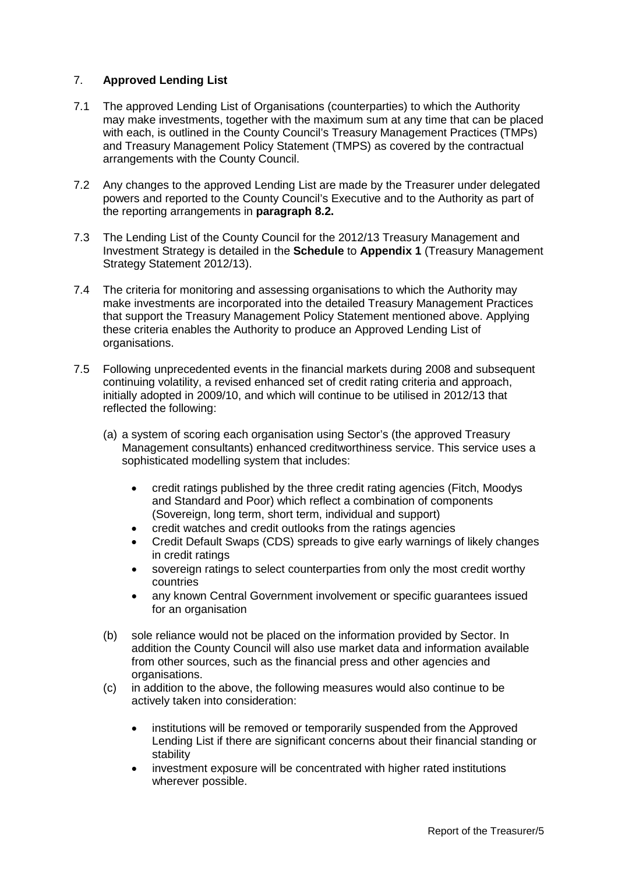# 7. **Approved Lending List**

- 7.1 The approved Lending List of Organisations (counterparties) to which the Authority may make investments, together with the maximum sum at any time that can be placed with each, is outlined in the County Council's Treasury Management Practices (TMPs) and Treasury Management Policy Statement (TMPS) as covered by the contractual arrangements with the County Council.
- 7.2 Any changes to the approved Lending List are made by the Treasurer under delegated powers and reported to the County Council's Executive and to the Authority as part of the reporting arrangements in **paragraph 8.2.**
- 7.3 The Lending List of the County Council for the 2012/13 Treasury Management and Investment Strategy is detailed in the **Schedule** to **Appendix 1** (Treasury Management Strategy Statement 2012/13).
- 7.4 The criteria for monitoring and assessing organisations to which the Authority may make investments are incorporated into the detailed Treasury Management Practices that support the Treasury Management Policy Statement mentioned above. Applying these criteria enables the Authority to produce an Approved Lending List of organisations.
- 7.5 Following unprecedented events in the financial markets during 2008 and subsequent continuing volatility, a revised enhanced set of credit rating criteria and approach, initially adopted in 2009/10, and which will continue to be utilised in 2012/13 that reflected the following:
	- (a) a system of scoring each organisation using Sector's (the approved Treasury Management consultants) enhanced creditworthiness service. This service uses a sophisticated modelling system that includes:
		- credit ratings published by the three credit rating agencies (Fitch, Moodys and Standard and Poor) which reflect a combination of components (Sovereign, long term, short term, individual and support)
		- credit watches and credit outlooks from the ratings agencies
		- Credit Default Swaps (CDS) spreads to give early warnings of likely changes in credit ratings
		- sovereign ratings to select counterparties from only the most credit worthy countries
		- any known Central Government involvement or specific guarantees issued for an organisation
	- (b) sole reliance would not be placed on the information provided by Sector. In addition the County Council will also use market data and information available from other sources, such as the financial press and other agencies and organisations.
	- (c) in addition to the above, the following measures would also continue to be actively taken into consideration:
		- institutions will be removed or temporarily suspended from the Approved Lending List if there are significant concerns about their financial standing or stability
		- investment exposure will be concentrated with higher rated institutions wherever possible.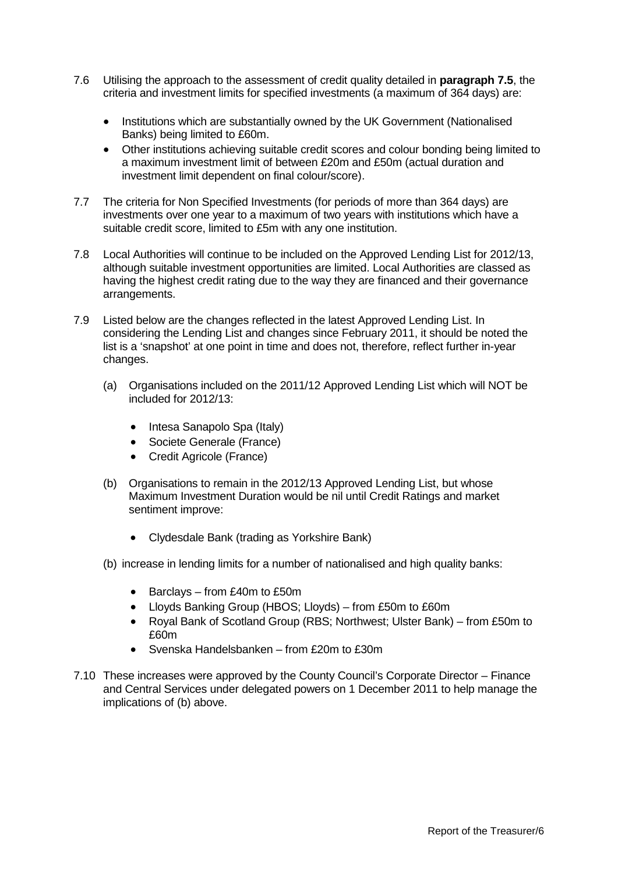- 7.6 Utilising the approach to the assessment of credit quality detailed in **paragraph 7.5**, the criteria and investment limits for specified investments (a maximum of 364 days) are:
	- Institutions which are substantially owned by the UK Government (Nationalised Banks) being limited to £60m.
	- Other institutions achieving suitable credit scores and colour bonding being limited to a maximum investment limit of between £20m and £50m (actual duration and investment limit dependent on final colour/score).
- 7.7 The criteria for Non Specified Investments (for periods of more than 364 days) are investments over one year to a maximum of two years with institutions which have a suitable credit score, limited to £5m with any one institution.
- 7.8 Local Authorities will continue to be included on the Approved Lending List for 2012/13, although suitable investment opportunities are limited. Local Authorities are classed as having the highest credit rating due to the way they are financed and their governance arrangements.
- 7.9 Listed below are the changes reflected in the latest Approved Lending List. In considering the Lending List and changes since February 2011, it should be noted the list is a 'snapshot' at one point in time and does not, therefore, reflect further in-year changes.
	- (a) Organisations included on the 2011/12 Approved Lending List which will NOT be included for 2012/13:
		- Intesa Sanapolo Spa (Italy)
		- Societe Generale (France)
		- Credit Agricole (France)
	- (b) Organisations to remain in the 2012/13 Approved Lending List, but whose Maximum Investment Duration would be nil until Credit Ratings and market sentiment improve:
		- Clydesdale Bank (trading as Yorkshire Bank)
	- (b) increase in lending limits for a number of nationalised and high quality banks:
		- Barclays from £40m to £50m
		- Lloyds Banking Group (HBOS; Lloyds) from £50m to £60m
		- Royal Bank of Scotland Group (RBS; Northwest; Ulster Bank) from £50m to £60m
		- Svenska Handelsbanken from £20m to £30m
- 7.10 These increases were approved by the County Council's Corporate Director Finance and Central Services under delegated powers on 1 December 2011 to help manage the implications of (b) above.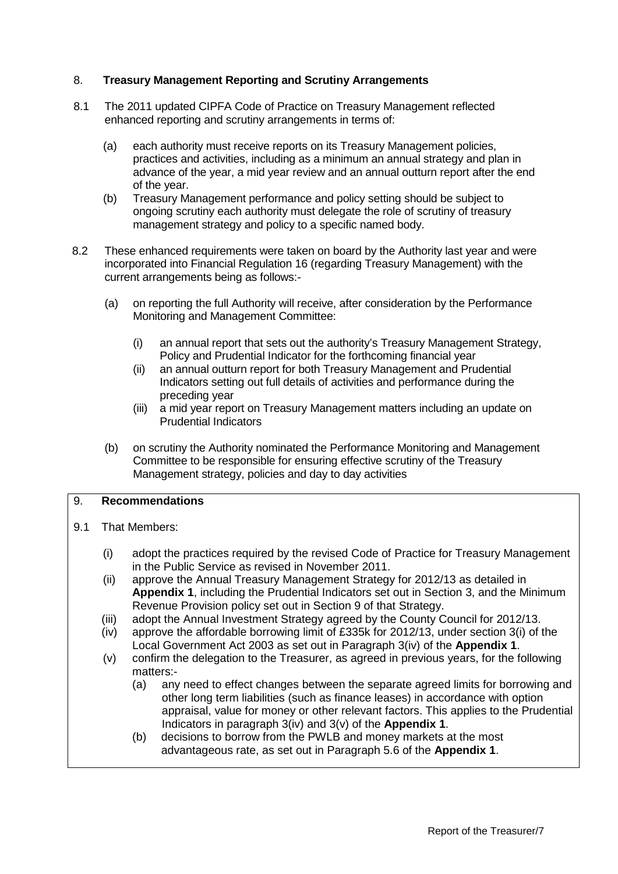# 8. **Treasury Management Reporting and Scrutiny Arrangements**

- 8.1 The 2011 updated CIPFA Code of Practice on Treasury Management reflected enhanced reporting and scrutiny arrangements in terms of:
	- (a) each authority must receive reports on its Treasury Management policies, practices and activities, including as a minimum an annual strategy and plan in advance of the year, a mid year review and an annual outturn report after the end of the year.
	- (b) Treasury Management performance and policy setting should be subject to ongoing scrutiny each authority must delegate the role of scrutiny of treasury management strategy and policy to a specific named body.
- 8.2 These enhanced requirements were taken on board by the Authority last year and were incorporated into Financial Regulation 16 (regarding Treasury Management) with the current arrangements being as follows:-
	- (a) on reporting the full Authority will receive, after consideration by the Performance Monitoring and Management Committee:
		- (i) an annual report that sets out the authority's Treasury Management Strategy, Policy and Prudential Indicator for the forthcoming financial year
		- (ii) an annual outturn report for both Treasury Management and Prudential Indicators setting out full details of activities and performance during the preceding year
		- (iii) a mid year report on Treasury Management matters including an update on Prudential Indicators
	- (b) on scrutiny the Authority nominated the Performance Monitoring and Management Committee to be responsible for ensuring effective scrutiny of the Treasury Management strategy, policies and day to day activities

# 9. **Recommendations**

- 9.1 That Members:
	- (i) adopt the practices required by the revised Code of Practice for Treasury Management in the Public Service as revised in November 2011.
	- (ii) approve the Annual Treasury Management Strategy for 2012/13 as detailed in **Appendix 1**, including the Prudential Indicators set out in Section 3, and the Minimum Revenue Provision policy set out in Section 9 of that Strategy.
	- (iii) adopt the Annual Investment Strategy agreed by the County Council for 2012/13.
	- (iv) approve the affordable borrowing limit of £335k for 2012/13, under section 3(i) of the Local Government Act 2003 as set out in Paragraph 3(iv) of the **Appendix 1**.
	- (v) confirm the delegation to the Treasurer, as agreed in previous years, for the following matters:-
		- (a) any need to effect changes between the separate agreed limits for borrowing and other long term liabilities (such as finance leases) in accordance with option appraisal, value for money or other relevant factors. This applies to the Prudential Indicators in paragraph 3(iv) and 3(v) of the **Appendix 1**.
		- (b) decisions to borrow from the PWLB and money markets at the most advantageous rate, as set out in Paragraph 5.6 of the **Appendix 1**.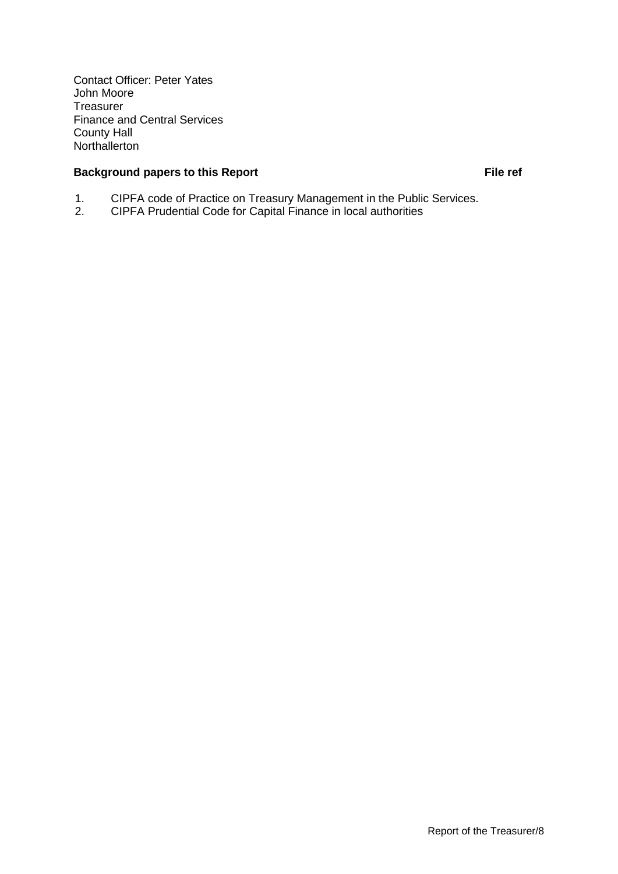Contact Officer: Peter Yates John Moore Treasurer Finance and Central Services County Hall **Northallerton** 

# **Background papers to this Report File ref** File ref

- 1. CIPFA code of Practice on Treasury Management in the Public Services.<br>2. CIPFA Prudential Code for Capital Finance in local authorities
- 2. CIPFA Prudential Code for Capital Finance in local authorities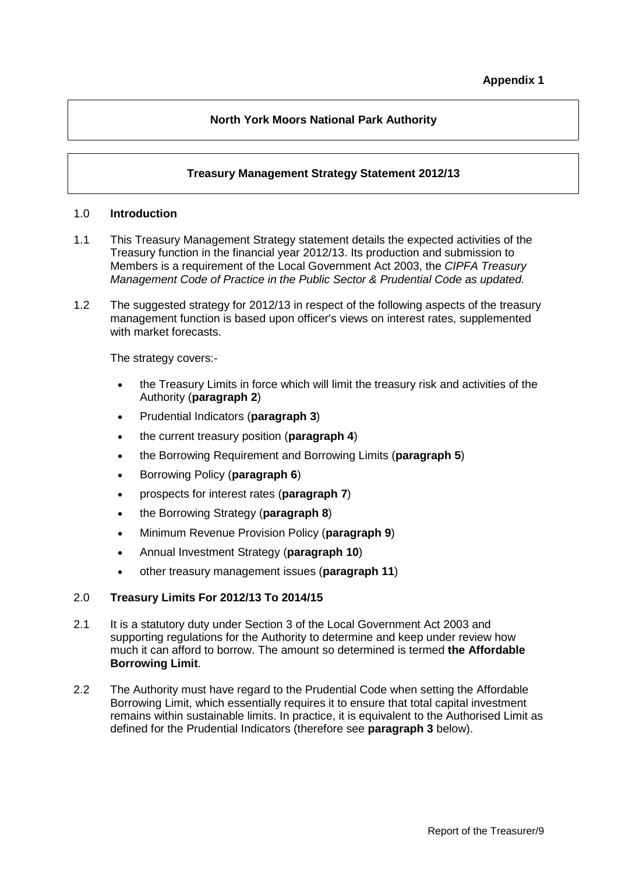# **North York Moors National Park Authority**

# **Treasury Management Strategy Statement 2012/13**

#### 1.0 **Introduction**

- 1.1 This Treasury Management Strategy statement details the expected activities of the Treasury function in the financial year 2012/13. Its production and submission to Members is a requirement of the Local Government Act 2003, the *CIPFA Treasury Management Code of Practice in the Public Sector & Prudential Code as updated.*
- 1.2 The suggested strategy for 2012/13 in respect of the following aspects of the treasury management function is based upon officer's views on interest rates, supplemented with market forecasts.

The strategy covers:-

- the Treasury Limits in force which will limit the treasury risk and activities of the Authority (**paragraph 2**)
- Prudential Indicators (**paragraph 3**)
- the current treasury position (**paragraph 4**)
- the Borrowing Requirement and Borrowing Limits (**paragraph 5**)
- Borrowing Policy (**paragraph 6**)
- prospects for interest rates (**paragraph 7**)
- the Borrowing Strategy (**paragraph 8**)
- Minimum Revenue Provision Policy (**paragraph 9**)
- Annual Investment Strategy (**paragraph 10**)
- other treasury management issues (**paragraph 11**)

#### 2.0 **Treasury Limits For 2012/13 To 2014/15**

- 2.1 It is a statutory duty under Section 3 of the Local Government Act 2003 and supporting regulations for the Authority to determine and keep under review how much it can afford to borrow. The amount so determined is termed **the Affordable Borrowing Limit**.
- 2.2 The Authority must have regard to the Prudential Code when setting the Affordable Borrowing Limit, which essentially requires it to ensure that total capital investment remains within sustainable limits. In practice, it is equivalent to the Authorised Limit as defined for the Prudential Indicators (therefore see **paragraph 3** below).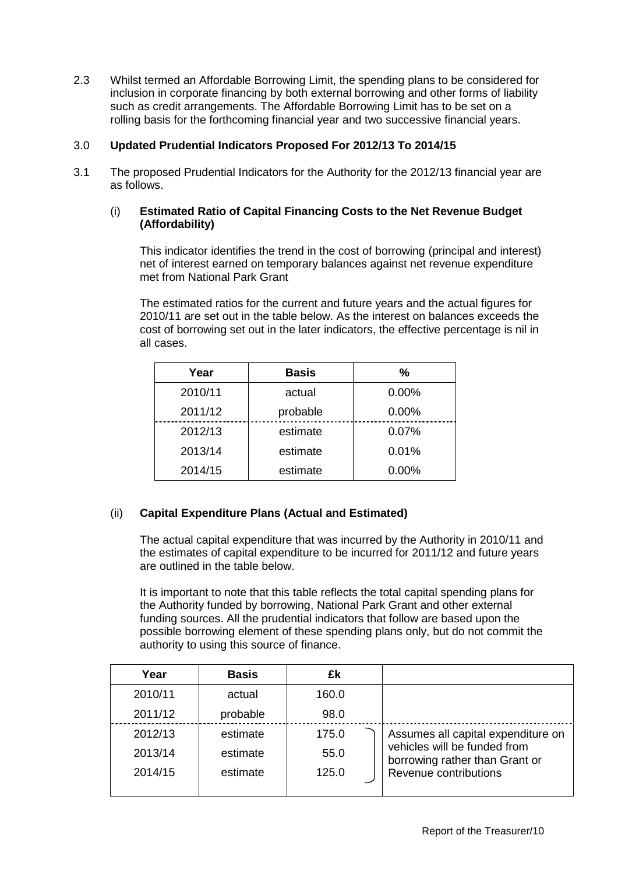2.3 Whilst termed an Affordable Borrowing Limit, the spending plans to be considered for inclusion in corporate financing by both external borrowing and other forms of liability such as credit arrangements. The Affordable Borrowing Limit has to be set on a rolling basis for the forthcoming financial year and two successive financial years.

# 3.0 **Updated Prudential Indicators Proposed For 2012/13 To 2014/15**

3.1 The proposed Prudential Indicators for the Authority for the 2012/13 financial year are as follows.

# (i) **Estimated Ratio of Capital Financing Costs to the Net Revenue Budget (Affordability)**

This indicator identifies the trend in the cost of borrowing (principal and interest) net of interest earned on temporary balances against net revenue expenditure met from National Park Grant

The estimated ratios for the current and future years and the actual figures for 2010/11 are set out in the table below. As the interest on balances exceeds the cost of borrowing set out in the later indicators, the effective percentage is nil in all cases.

| Year    | <b>Basis</b> | %     |
|---------|--------------|-------|
| 2010/11 | actual       | 0.00% |
| 2011/12 | probable     | 0.00% |
| 2012/13 | estimate     | 0.07% |
| 2013/14 | estimate     | 0.01% |
| 2014/15 | estimate     | 0.00% |

# (ii) **Capital Expenditure Plans (Actual and Estimated)**

The actual capital expenditure that was incurred by the Authority in 2010/11 and the estimates of capital expenditure to be incurred for 2011/12 and future years are outlined in the table below.

It is important to note that this table reflects the total capital spending plans for the Authority funded by borrowing, National Park Grant and other external funding sources. All the prudential indicators that follow are based upon the possible borrowing element of these spending plans only, but do not commit the authority to using this source of finance.

| Year    | <b>Basis</b> | £k    |                                                                |
|---------|--------------|-------|----------------------------------------------------------------|
| 2010/11 | actual       | 160.0 |                                                                |
| 2011/12 | probable     | 98.0  |                                                                |
| 2012/13 | estimate     | 175.0 | Assumes all capital expenditure on                             |
| 2013/14 | estimate     | 55.0  | vehicles will be funded from<br>borrowing rather than Grant or |
| 2014/15 | estimate     | 125.0 | Revenue contributions                                          |
|         |              |       |                                                                |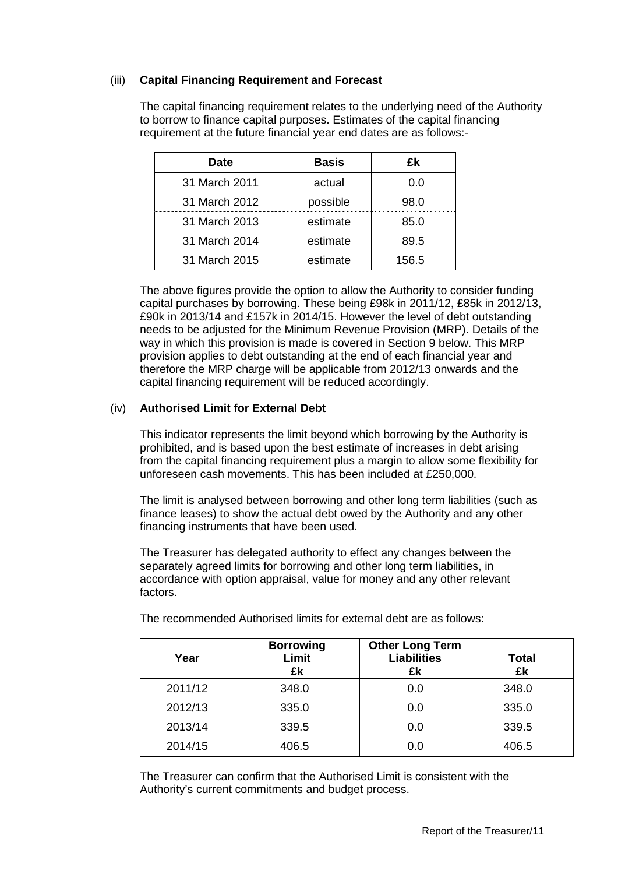# (iii) **Capital Financing Requirement and Forecast**

The capital financing requirement relates to the underlying need of the Authority to borrow to finance capital purposes. Estimates of the capital financing requirement at the future financial year end dates are as follows:-

| <b>Date</b>   | <b>Basis</b> | £k    |
|---------------|--------------|-------|
| 31 March 2011 | actual       | 0.0   |
| 31 March 2012 | possible     | 98.0  |
| 31 March 2013 | estimate     | 85.0  |
| 31 March 2014 | estimate     | 89.5  |
| 31 March 2015 | estimate     | 156.5 |

The above figures provide the option to allow the Authority to consider funding capital purchases by borrowing. These being £98k in 2011/12, £85k in 2012/13, £90k in 2013/14 and £157k in 2014/15. However the level of debt outstanding needs to be adjusted for the Minimum Revenue Provision (MRP). Details of the way in which this provision is made is covered in Section 9 below. This MRP provision applies to debt outstanding at the end of each financial year and therefore the MRP charge will be applicable from 2012/13 onwards and the capital financing requirement will be reduced accordingly.

# (iv) **Authorised Limit for External Debt**

This indicator represents the limit beyond which borrowing by the Authority is prohibited, and is based upon the best estimate of increases in debt arising from the capital financing requirement plus a margin to allow some flexibility for unforeseen cash movements. This has been included at £250,000.

The limit is analysed between borrowing and other long term liabilities (such as finance leases) to show the actual debt owed by the Authority and any other financing instruments that have been used.

The Treasurer has delegated authority to effect any changes between the separately agreed limits for borrowing and other long term liabilities, in accordance with option appraisal, value for money and any other relevant factors.

| Year    | <b>Borrowing</b><br>Limit<br>£k | <b>Other Long Term</b><br><b>Liabilities</b><br>£k | <b>Total</b><br>£k |
|---------|---------------------------------|----------------------------------------------------|--------------------|
| 2011/12 | 348.0                           | 0.0                                                | 348.0              |
| 2012/13 | 335.0                           | 0.0                                                | 335.0              |
| 2013/14 | 339.5                           | 0.0                                                | 339.5              |
| 2014/15 | 406.5                           | 0.0                                                | 406.5              |

The recommended Authorised limits for external debt are as follows:

The Treasurer can confirm that the Authorised Limit is consistent with the Authority's current commitments and budget process.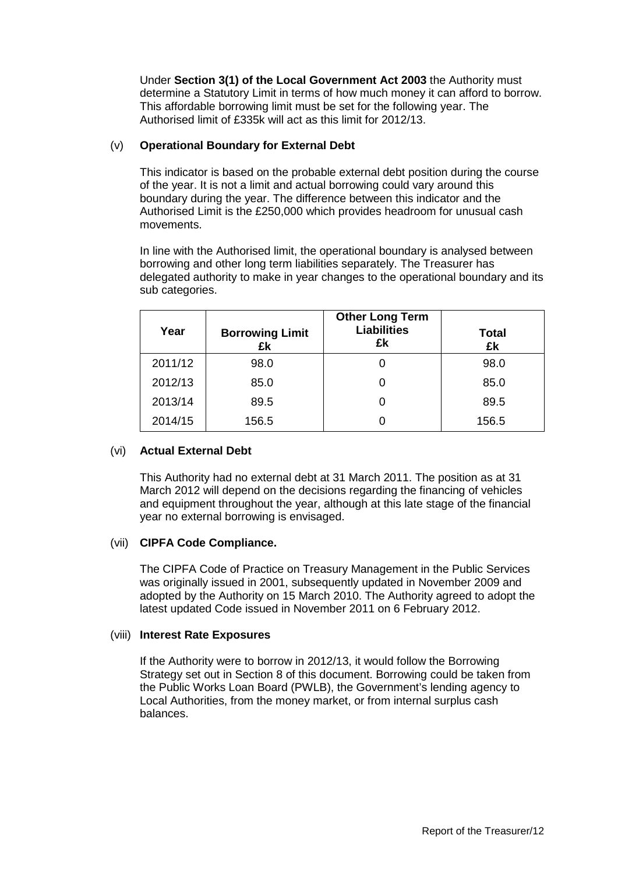Under **Section 3(1) of the Local Government Act 2003** the Authority must determine a Statutory Limit in terms of how much money it can afford to borrow. This affordable borrowing limit must be set for the following year. The Authorised limit of £335k will act as this limit for 2012/13.

# (v) **Operational Boundary for External Debt**

This indicator is based on the probable external debt position during the course of the year. It is not a limit and actual borrowing could vary around this boundary during the year. The difference between this indicator and the Authorised Limit is the £250,000 which provides headroom for unusual cash movements.

In line with the Authorised limit, the operational boundary is analysed between borrowing and other long term liabilities separately. The Treasurer has delegated authority to make in year changes to the operational boundary and its sub categories.

| Year    | <b>Borrowing Limit</b><br>£k | <b>Other Long Term</b><br><b>Liabilities</b><br>£k | <b>Total</b><br>£k |
|---------|------------------------------|----------------------------------------------------|--------------------|
| 2011/12 | 98.0                         |                                                    | 98.0               |
| 2012/13 | 85.0                         |                                                    | 85.0               |
| 2013/14 | 89.5                         |                                                    | 89.5               |
| 2014/15 | 156.5                        |                                                    | 156.5              |

# (vi) **Actual External Debt**

This Authority had no external debt at 31 March 2011. The position as at 31 March 2012 will depend on the decisions regarding the financing of vehicles and equipment throughout the year, although at this late stage of the financial year no external borrowing is envisaged.

#### (vii) **CIPFA Code Compliance.**

The CIPFA Code of Practice on Treasury Management in the Public Services was originally issued in 2001, subsequently updated in November 2009 and adopted by the Authority on 15 March 2010. The Authority agreed to adopt the latest updated Code issued in November 2011 on 6 February 2012.

#### (viii) **Interest Rate Exposures**

If the Authority were to borrow in 2012/13, it would follow the Borrowing Strategy set out in Section 8 of this document. Borrowing could be taken from the Public Works Loan Board (PWLB), the Government's lending agency to Local Authorities, from the money market, or from internal surplus cash balances.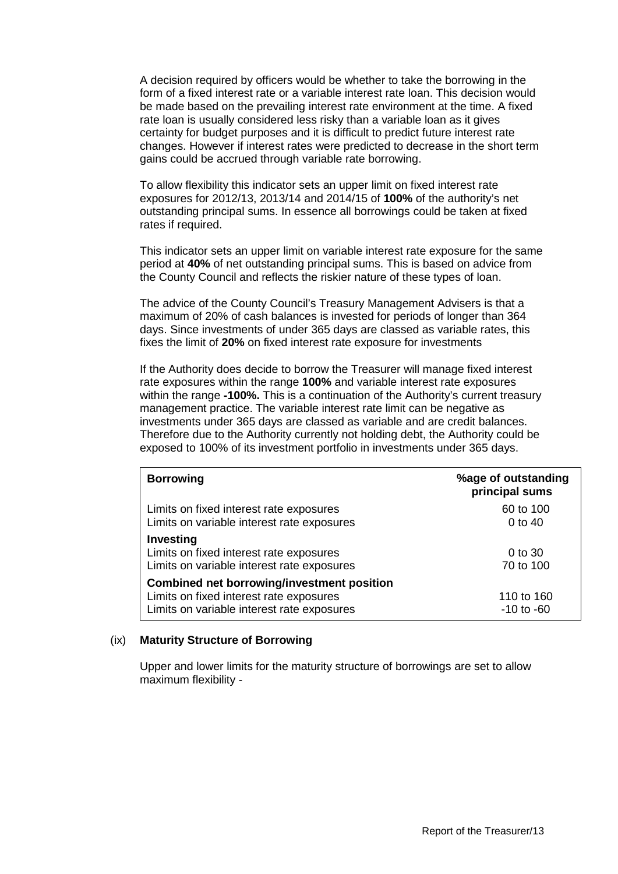A decision required by officers would be whether to take the borrowing in the form of a fixed interest rate or a variable interest rate loan. This decision would be made based on the prevailing interest rate environment at the time. A fixed rate loan is usually considered less risky than a variable loan as it gives certainty for budget purposes and it is difficult to predict future interest rate changes. However if interest rates were predicted to decrease in the short term gains could be accrued through variable rate borrowing.

To allow flexibility this indicator sets an upper limit on fixed interest rate exposures for 2012/13, 2013/14 and 2014/15 of **100%** of the authority's net outstanding principal sums. In essence all borrowings could be taken at fixed rates if required.

This indicator sets an upper limit on variable interest rate exposure for the same period at **40%** of net outstanding principal sums. This is based on advice from the County Council and reflects the riskier nature of these types of loan.

The advice of the County Council's Treasury Management Advisers is that a maximum of 20% of cash balances is invested for periods of longer than 364 days. Since investments of under 365 days are classed as variable rates, this fixes the limit of **20%** on fixed interest rate exposure for investments

If the Authority does decide to borrow the Treasurer will manage fixed interest rate exposures within the range **100%** and variable interest rate exposures within the range **-100%.** This is a continuation of the Authority's current treasury management practice. The variable interest rate limit can be negative as investments under 365 days are classed as variable and are credit balances. Therefore due to the Authority currently not holding debt, the Authority could be exposed to 100% of its investment portfolio in investments under 365 days.

| <b>Borrowing</b>                                                                                                                           | %age of outstanding<br>principal sums |
|--------------------------------------------------------------------------------------------------------------------------------------------|---------------------------------------|
| Limits on fixed interest rate exposures<br>Limits on variable interest rate exposures                                                      | 60 to 100<br>0 to $40$                |
| <b>Investing</b><br>Limits on fixed interest rate exposures<br>Limits on variable interest rate exposures                                  | 0 to 30<br>70 to 100                  |
| <b>Combined net borrowing/investment position</b><br>Limits on fixed interest rate exposures<br>Limits on variable interest rate exposures | 110 to 160<br>$-10$ to $-60$          |

#### (ix) **Maturity Structure of Borrowing**

Upper and lower limits for the maturity structure of borrowings are set to allow maximum flexibility -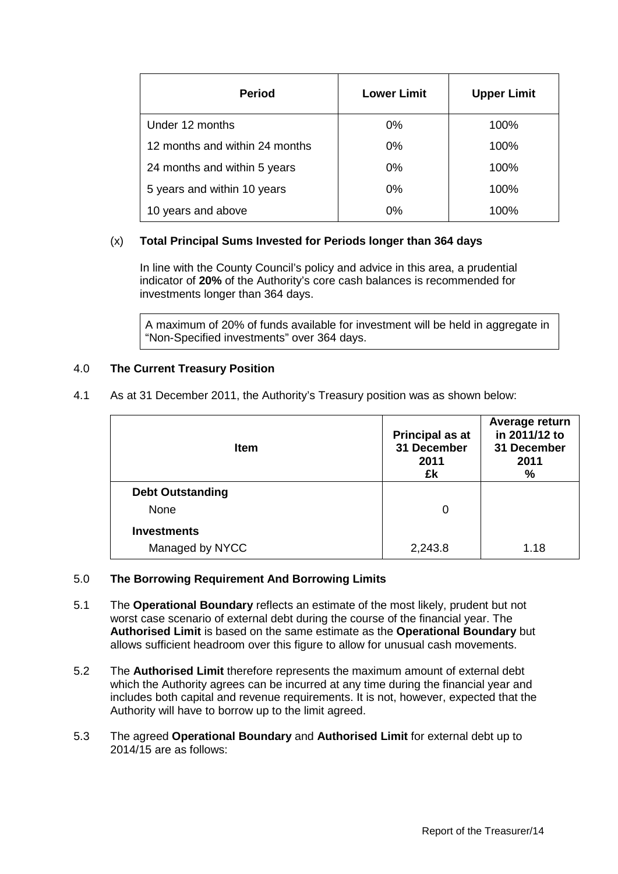| <b>Period</b>                  | <b>Lower Limit</b> | <b>Upper Limit</b> |
|--------------------------------|--------------------|--------------------|
| Under 12 months                | $0\%$              | 100%               |
| 12 months and within 24 months | $0\%$              | 100%               |
| 24 months and within 5 years   | $0\%$              | 100%               |
| 5 years and within 10 years    | $0\%$              | 100%               |
| 10 years and above             | 0%                 | 100%               |

# (x) **Total Principal Sums Invested for Periods longer than 364 days**

In line with the County Council's policy and advice in this area, a prudential indicator of **20%** of the Authority's core cash balances is recommended for investments longer than 364 days.

A maximum of 20% of funds available for investment will be held in aggregate in "Non-Specified investments" over 364 days.

# 4.0 **The Current Treasury Position**

4.1 As at 31 December 2011, the Authority's Treasury position was as shown below:

| <b>Item</b>                           | <b>Principal as at</b><br>31 December<br>2011<br>£k | Average return<br>in 2011/12 to<br>31 December<br>2011<br>$\%$ |
|---------------------------------------|-----------------------------------------------------|----------------------------------------------------------------|
| <b>Debt Outstanding</b><br>None       | 0                                                   |                                                                |
| <b>Investments</b><br>Managed by NYCC | 2,243.8                                             | 1.18                                                           |

# 5.0 **The Borrowing Requirement And Borrowing Limits**

- 5.1 The **Operational Boundary** reflects an estimate of the most likely, prudent but not worst case scenario of external debt during the course of the financial year. The **Authorised Limit** is based on the same estimate as the **Operational Boundary** but allows sufficient headroom over this figure to allow for unusual cash movements.
- 5.2 The **Authorised Limit** therefore represents the maximum amount of external debt which the Authority agrees can be incurred at any time during the financial year and includes both capital and revenue requirements. It is not, however, expected that the Authority will have to borrow up to the limit agreed.
- 5.3 The agreed **Operational Boundary** and **Authorised Limit** for external debt up to 2014/15 are as follows: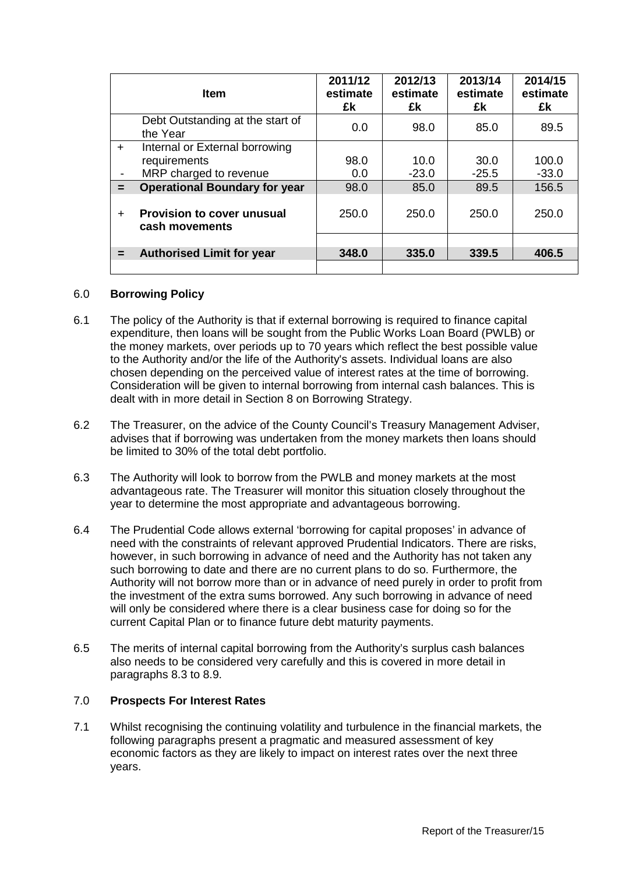|           | <b>Item</b>                                         | 2011/12<br>estimate<br>£k | 2012/13<br>estimate<br>£k | 2013/14<br>estimate<br>£k | 2014/15<br>estimate<br>£k |
|-----------|-----------------------------------------------------|---------------------------|---------------------------|---------------------------|---------------------------|
|           | Debt Outstanding at the start of<br>the Year        | 0.0                       | 98.0                      | 85.0                      | 89.5                      |
| $+$       | Internal or External borrowing                      |                           |                           |                           |                           |
|           | requirements                                        | 98.0                      | 10.0                      | 30.0                      | 100.0                     |
|           | MRP charged to revenue                              | 0.0                       | $-23.0$                   | $-25.5$                   | $-33.0$                   |
| $=$       | <b>Operational Boundary for year</b>                | 98.0                      | 85.0                      | 89.5                      | 156.5                     |
| $\ddot{}$ | <b>Provision to cover unusual</b><br>cash movements | 250.0                     | 250.0                     | 250.0                     | 250.0                     |
|           |                                                     |                           |                           |                           |                           |
|           | <b>Authorised Limit for year</b>                    | 348.0                     | 335.0                     | 339.5                     | 406.5                     |
|           |                                                     |                           |                           |                           |                           |

#### 6.0 **Borrowing Policy**

- 6.1 The policy of the Authority is that if external borrowing is required to finance capital expenditure, then loans will be sought from the Public Works Loan Board (PWLB) or the money markets, over periods up to 70 years which reflect the best possible value to the Authority and/or the life of the Authority's assets. Individual loans are also chosen depending on the perceived value of interest rates at the time of borrowing. Consideration will be given to internal borrowing from internal cash balances. This is dealt with in more detail in Section 8 on Borrowing Strategy.
- 6.2 The Treasurer, on the advice of the County Council's Treasury Management Adviser, advises that if borrowing was undertaken from the money markets then loans should be limited to 30% of the total debt portfolio.
- 6.3 The Authority will look to borrow from the PWLB and money markets at the most advantageous rate. The Treasurer will monitor this situation closely throughout the year to determine the most appropriate and advantageous borrowing.
- 6.4 The Prudential Code allows external 'borrowing for capital proposes' in advance of need with the constraints of relevant approved Prudential Indicators. There are risks, however, in such borrowing in advance of need and the Authority has not taken any such borrowing to date and there are no current plans to do so. Furthermore, the Authority will not borrow more than or in advance of need purely in order to profit from the investment of the extra sums borrowed. Any such borrowing in advance of need will only be considered where there is a clear business case for doing so for the current Capital Plan or to finance future debt maturity payments.
- 6.5 The merits of internal capital borrowing from the Authority's surplus cash balances also needs to be considered very carefully and this is covered in more detail in paragraphs 8.3 to 8.9.

# 7.0 **Prospects For Interest Rates**

7.1 Whilst recognising the continuing volatility and turbulence in the financial markets, the following paragraphs present a pragmatic and measured assessment of key economic factors as they are likely to impact on interest rates over the next three years.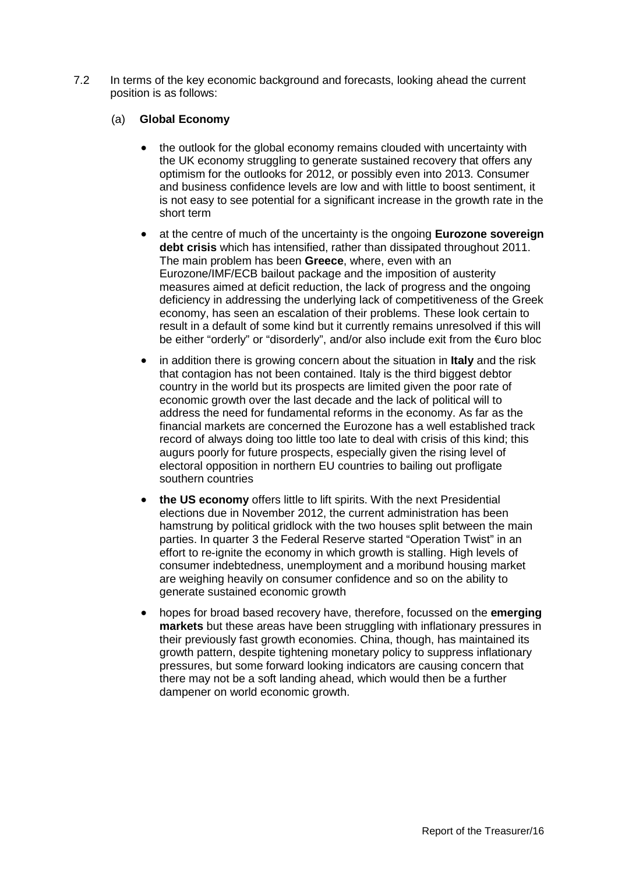7.2 In terms of the key economic background and forecasts, looking ahead the current position is as follows:

# (a) **Global Economy**

- the outlook for the global economy remains clouded with uncertainty with the UK economy struggling to generate sustained recovery that offers any optimism for the outlooks for 2012, or possibly even into 2013. Consumer and business confidence levels are low and with little to boost sentiment, it is not easy to see potential for a significant increase in the growth rate in the short term
- at the centre of much of the uncertainty is the ongoing **Eurozone sovereign debt crisis** which has intensified, rather than dissipated throughout 2011. The main problem has been **Greece**, where, even with an Eurozone/IMF/ECB bailout package and the imposition of austerity measures aimed at deficit reduction, the lack of progress and the ongoing deficiency in addressing the underlying lack of competitiveness of the Greek economy, has seen an escalation of their problems. These look certain to result in a default of some kind but it currently remains unresolved if this will be either "orderly" or "disorderly", and/or also include exit from the €uro bloc
- in addition there is growing concern about the situation in **Italy** and the risk that contagion has not been contained. Italy is the third biggest debtor country in the world but its prospects are limited given the poor rate of economic growth over the last decade and the lack of political will to address the need for fundamental reforms in the economy. As far as the financial markets are concerned the Eurozone has a well established track record of always doing too little too late to deal with crisis of this kind; this augurs poorly for future prospects, especially given the rising level of electoral opposition in northern EU countries to bailing out profligate southern countries
- **the US economy** offers little to lift spirits. With the next Presidential elections due in November 2012, the current administration has been hamstrung by political gridlock with the two houses split between the main parties. In quarter 3 the Federal Reserve started "Operation Twist" in an effort to re-ignite the economy in which growth is stalling. High levels of consumer indebtedness, unemployment and a moribund housing market are weighing heavily on consumer confidence and so on the ability to generate sustained economic growth
- hopes for broad based recovery have, therefore, focussed on the **emerging markets** but these areas have been struggling with inflationary pressures in their previously fast growth economies. China, though, has maintained its growth pattern, despite tightening monetary policy to suppress inflationary pressures, but some forward looking indicators are causing concern that there may not be a soft landing ahead, which would then be a further dampener on world economic growth.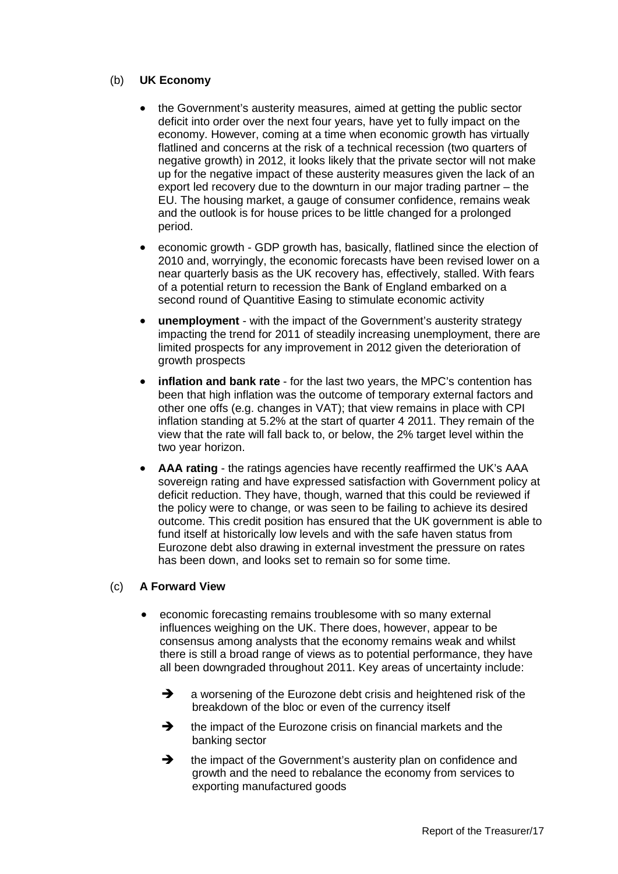# (b) **UK Economy**

- the Government's austerity measures, aimed at getting the public sector deficit into order over the next four years, have yet to fully impact on the economy. However, coming at a time when economic growth has virtually flatlined and concerns at the risk of a technical recession (two quarters of negative growth) in 2012, it looks likely that the private sector will not make up for the negative impact of these austerity measures given the lack of an export led recovery due to the downturn in our major trading partner – the EU. The housing market, a gauge of consumer confidence, remains weak and the outlook is for house prices to be little changed for a prolonged period.
- economic growth GDP growth has, basically, flatlined since the election of 2010 and, worryingly, the economic forecasts have been revised lower on a near quarterly basis as the UK recovery has, effectively, stalled. With fears of a potential return to recession the Bank of England embarked on a second round of Quantitive Easing to stimulate economic activity
- **unemployment** with the impact of the Government's austerity strategy impacting the trend for 2011 of steadily increasing unemployment, there are limited prospects for any improvement in 2012 given the deterioration of growth prospects
- **inflation and bank rate** for the last two years, the MPC's contention has been that high inflation was the outcome of temporary external factors and other one offs (e.g. changes in VAT); that view remains in place with CPI inflation standing at 5.2% at the start of quarter 4 2011. They remain of the view that the rate will fall back to, or below, the 2% target level within the two year horizon.
- **AAA rating** the ratings agencies have recently reaffirmed the UK's AAA sovereign rating and have expressed satisfaction with Government policy at deficit reduction. They have, though, warned that this could be reviewed if the policy were to change, or was seen to be failing to achieve its desired outcome. This credit position has ensured that the UK government is able to fund itself at historically low levels and with the safe haven status from Eurozone debt also drawing in external investment the pressure on rates has been down, and looks set to remain so for some time.

# (c) **A Forward View**

- economic forecasting remains troublesome with so many external influences weighing on the UK. There does, however, appear to be consensus among analysts that the economy remains weak and whilst there is still a broad range of views as to potential performance, they have all been downgraded throughout 2011. Key areas of uncertainty include:
	- A a worsening of the Eurozone debt crisis and heightened risk of the breakdown of the bloc or even of the currency itself
	- $\rightarrow$  the impact of the Eurozone crisis on financial markets and the banking sector
	- $\rightarrow$  the impact of the Government's austerity plan on confidence and growth and the need to rebalance the economy from services to exporting manufactured goods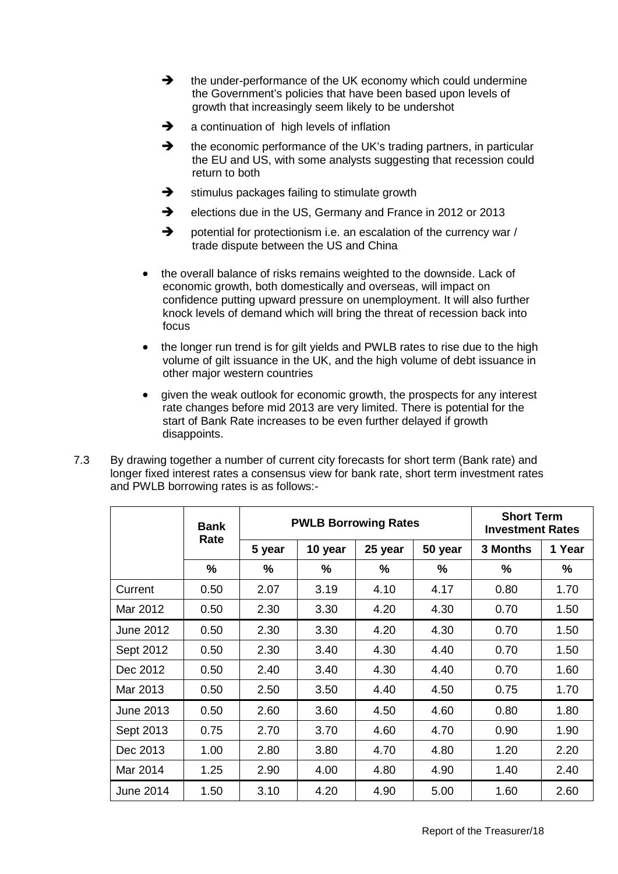- $\rightarrow$  the under-performance of the UK economy which could undermine the Government's policies that have been based upon levels of growth that increasingly seem likely to be undershot
- $\rightarrow$  a continuation of high levels of inflation
- $\rightarrow$  the economic performance of the UK's trading partners, in particular the EU and US, with some analysts suggesting that recession could return to both
- $\rightarrow$  stimulus packages failing to stimulate growth
- elections due in the US, Germany and France in 2012 or 2013
- → potential for protectionism i.e. an escalation of the currency war / trade dispute between the US and China
- the overall balance of risks remains weighted to the downside. Lack of economic growth, both domestically and overseas, will impact on confidence putting upward pressure on unemployment. It will also further knock levels of demand which will bring the threat of recession back into focus
- the longer run trend is for gilt yields and PWLB rates to rise due to the high volume of gilt issuance in the UK, and the high volume of debt issuance in other major western countries
- given the weak outlook for economic growth, the prospects for any interest rate changes before mid 2013 are very limited. There is potential for the start of Bank Rate increases to be even further delayed if growth disappoints.
- 7.3 By drawing together a number of current city forecasts for short term (Bank rate) and longer fixed interest rates a consensus view for bank rate, short term investment rates and PWLB borrowing rates is as follows:-

|           | Bank | <b>PWLB Borrowing Rates</b> |         |         | <b>Short Term</b><br><b>Investment Rates</b> |                 |        |
|-----------|------|-----------------------------|---------|---------|----------------------------------------------|-----------------|--------|
|           | Rate | 5 year                      | 10 year | 25 year | 50 year                                      | <b>3 Months</b> | 1 Year |
|           | %    | %                           | %       | %       | %                                            | %               | %      |
| Current   | 0.50 | 2.07                        | 3.19    | 4.10    | 4.17                                         | 0.80            | 1.70   |
| Mar 2012  | 0.50 | 2.30                        | 3.30    | 4.20    | 4.30                                         | 0.70            | 1.50   |
| June 2012 | 0.50 | 2.30                        | 3.30    | 4.20    | 4.30                                         | 0.70            | 1.50   |
| Sept 2012 | 0.50 | 2.30                        | 3.40    | 4.30    | 4.40                                         | 0.70            | 1.50   |
| Dec 2012  | 0.50 | 2.40                        | 3.40    | 4.30    | 4.40                                         | 0.70            | 1.60   |
| Mar 2013  | 0.50 | 2.50                        | 3.50    | 4.40    | 4.50                                         | 0.75            | 1.70   |
| June 2013 | 0.50 | 2.60                        | 3.60    | 4.50    | 4.60                                         | 0.80            | 1.80   |
| Sept 2013 | 0.75 | 2.70                        | 3.70    | 4.60    | 4.70                                         | 0.90            | 1.90   |
| Dec 2013  | 1.00 | 2.80                        | 3.80    | 4.70    | 4.80                                         | 1.20            | 2.20   |
| Mar 2014  | 1.25 | 2.90                        | 4.00    | 4.80    | 4.90                                         | 1.40            | 2.40   |
| June 2014 | 1.50 | 3.10                        | 4.20    | 4.90    | 5.00                                         | 1.60            | 2.60   |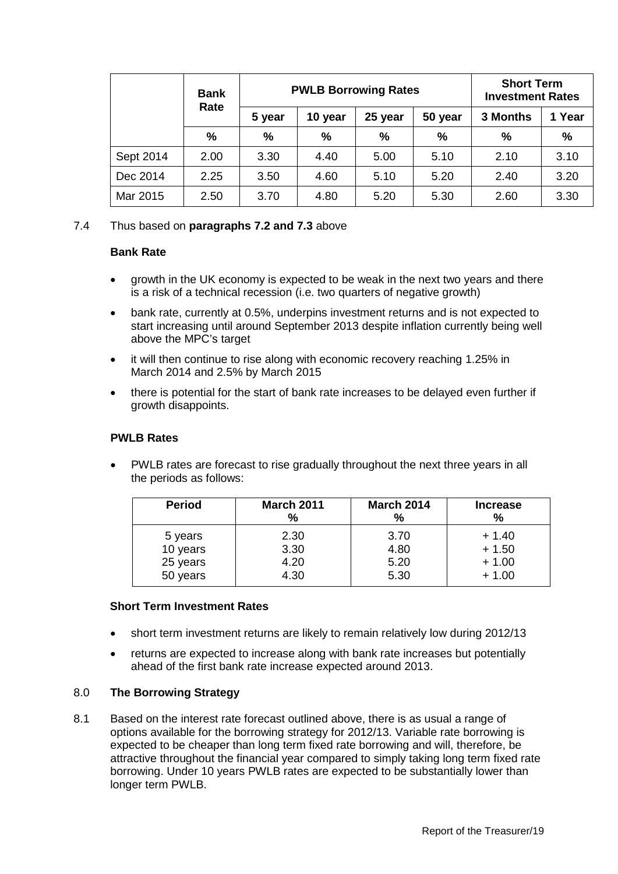|           | <b>Bank</b>   |        | <b>PWLB Borrowing Rates</b> |               |         | <b>Short Term</b><br><b>Investment Rates</b> |               |
|-----------|---------------|--------|-----------------------------|---------------|---------|----------------------------------------------|---------------|
|           | Rate          | 5 year | 10 year                     | 25 year       | 50 year | 3 Months                                     | 1 Year        |
|           | $\frac{9}{6}$ | $\%$   | $\frac{0}{0}$               | $\frac{0}{0}$ | $\%$    | %                                            | $\frac{0}{0}$ |
| Sept 2014 | 2.00          | 3.30   | 4.40                        | 5.00          | 5.10    | 2.10                                         | 3.10          |
| Dec 2014  | 2.25          | 3.50   | 4.60                        | 5.10          | 5.20    | 2.40                                         | 3.20          |
| Mar 2015  | 2.50          | 3.70   | 4.80                        | 5.20          | 5.30    | 2.60                                         | 3.30          |

# 7.4 Thus based on **paragraphs 7.2 and 7.3** above

#### **Bank Rate**

- growth in the UK economy is expected to be weak in the next two years and there is a risk of a technical recession (i.e. two quarters of negative growth)
- bank rate, currently at 0.5%, underpins investment returns and is not expected to start increasing until around September 2013 despite inflation currently being well above the MPC's target
- it will then continue to rise along with economic recovery reaching 1.25% in March 2014 and 2.5% by March 2015
- there is potential for the start of bank rate increases to be delayed even further if growth disappoints.

### **PWLB Rates**

• PWLB rates are forecast to rise gradually throughout the next three years in all the periods as follows:

| <b>Period</b> | <b>March 2011</b><br>$\%$ | <b>March 2014</b><br>% | <b>Increase</b><br>% |
|---------------|---------------------------|------------------------|----------------------|
| 5 years       | 2.30                      | 3.70                   | $+1.40$              |
| 10 years      | 3.30                      | 4.80                   | $+1.50$              |
| 25 years      | 4.20                      | 5.20                   | $+1.00$              |
| 50 years      | 4.30                      | 5.30                   | $+1.00$              |

#### **Short Term Investment Rates**

- short term investment returns are likely to remain relatively low during 2012/13
- returns are expected to increase along with bank rate increases but potentially ahead of the first bank rate increase expected around 2013.

#### 8.0 **The Borrowing Strategy**

8.1 Based on the interest rate forecast outlined above, there is as usual a range of options available for the borrowing strategy for 2012/13. Variable rate borrowing is expected to be cheaper than long term fixed rate borrowing and will, therefore, be attractive throughout the financial year compared to simply taking long term fixed rate borrowing. Under 10 years PWLB rates are expected to be substantially lower than longer term PWLB.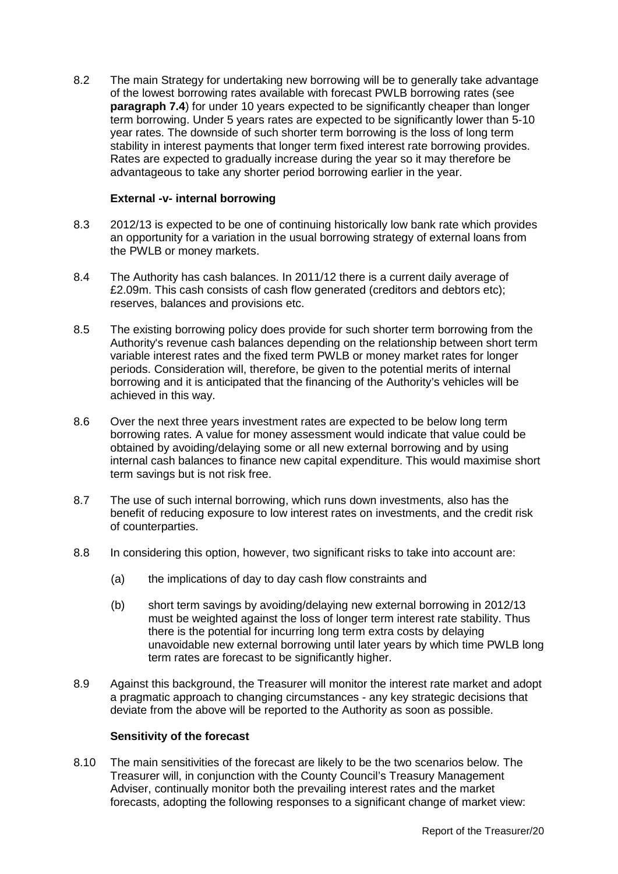8.2 The main Strategy for undertaking new borrowing will be to generally take advantage of the lowest borrowing rates available with forecast PWLB borrowing rates (see **paragraph 7.4**) for under 10 years expected to be significantly cheaper than longer term borrowing. Under 5 years rates are expected to be significantly lower than 5-10 year rates. The downside of such shorter term borrowing is the loss of long term stability in interest payments that longer term fixed interest rate borrowing provides. Rates are expected to gradually increase during the year so it may therefore be advantageous to take any shorter period borrowing earlier in the year.

### **External -v- internal borrowing**

- 8.3 2012/13 is expected to be one of continuing historically low bank rate which provides an opportunity for a variation in the usual borrowing strategy of external loans from the PWLB or money markets.
- 8.4 The Authority has cash balances. In 2011/12 there is a current daily average of £2.09m. This cash consists of cash flow generated (creditors and debtors etc); reserves, balances and provisions etc.
- 8.5 The existing borrowing policy does provide for such shorter term borrowing from the Authority's revenue cash balances depending on the relationship between short term variable interest rates and the fixed term PWLB or money market rates for longer periods. Consideration will, therefore, be given to the potential merits of internal borrowing and it is anticipated that the financing of the Authority's vehicles will be achieved in this way.
- 8.6 Over the next three years investment rates are expected to be below long term borrowing rates. A value for money assessment would indicate that value could be obtained by avoiding/delaying some or all new external borrowing and by using internal cash balances to finance new capital expenditure. This would maximise short term savings but is not risk free.
- 8.7 The use of such internal borrowing, which runs down investments, also has the benefit of reducing exposure to low interest rates on investments, and the credit risk of counterparties.
- 8.8 In considering this option, however, two significant risks to take into account are:
	- (a) the implications of day to day cash flow constraints and
	- (b) short term savings by avoiding/delaying new external borrowing in 2012/13 must be weighted against the loss of longer term interest rate stability. Thus there is the potential for incurring long term extra costs by delaying unavoidable new external borrowing until later years by which time PWLB long term rates are forecast to be significantly higher.
- 8.9 Against this background, the Treasurer will monitor the interest rate market and adopt a pragmatic approach to changing circumstances - any key strategic decisions that deviate from the above will be reported to the Authority as soon as possible.

#### **Sensitivity of the forecast**

8.10 The main sensitivities of the forecast are likely to be the two scenarios below. The Treasurer will, in conjunction with the County Council's Treasury Management Adviser, continually monitor both the prevailing interest rates and the market forecasts, adopting the following responses to a significant change of market view: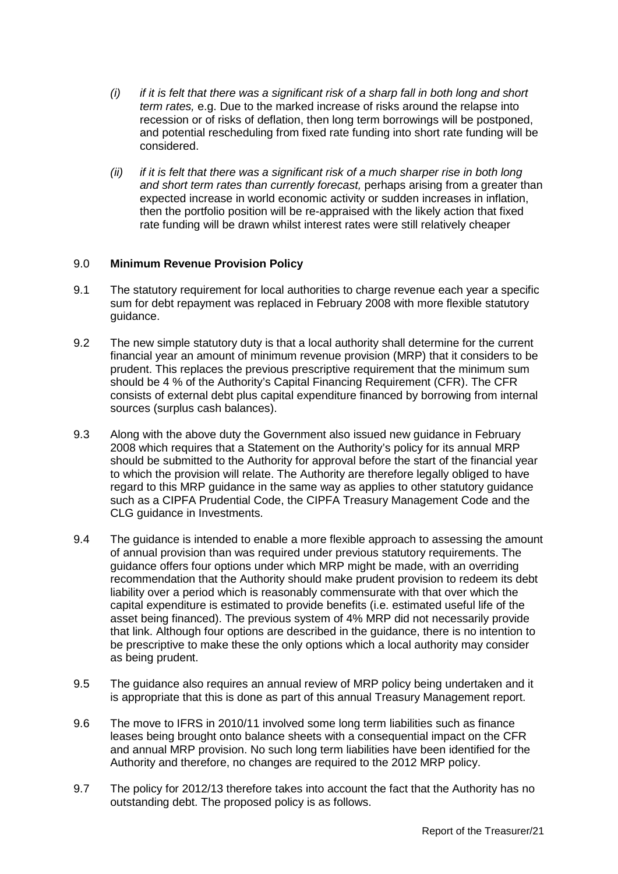- *(i) if it is felt that there was a significant risk of a sharp fall in both long and short term rates,* e.g. Due to the marked increase of risks around the relapse into recession or of risks of deflation, then long term borrowings will be postponed, and potential rescheduling from fixed rate funding into short rate funding will be considered.
- *(ii) if it is felt that there was a significant risk of a much sharper rise in both long and short term rates than currently forecast,* perhaps arising from a greater than expected increase in world economic activity or sudden increases in inflation, then the portfolio position will be re-appraised with the likely action that fixed rate funding will be drawn whilst interest rates were still relatively cheaper

# 9.0 **Minimum Revenue Provision Policy**

- 9.1 The statutory requirement for local authorities to charge revenue each year a specific sum for debt repayment was replaced in February 2008 with more flexible statutory guidance.
- 9.2 The new simple statutory duty is that a local authority shall determine for the current financial year an amount of minimum revenue provision (MRP) that it considers to be prudent. This replaces the previous prescriptive requirement that the minimum sum should be 4 % of the Authority's Capital Financing Requirement (CFR). The CFR consists of external debt plus capital expenditure financed by borrowing from internal sources (surplus cash balances).
- 9.3 Along with the above duty the Government also issued new guidance in February 2008 which requires that a Statement on the Authority's policy for its annual MRP should be submitted to the Authority for approval before the start of the financial year to which the provision will relate. The Authority are therefore legally obliged to have regard to this MRP guidance in the same way as applies to other statutory guidance such as a CIPFA Prudential Code, the CIPFA Treasury Management Code and the CLG guidance in Investments.
- 9.4 The guidance is intended to enable a more flexible approach to assessing the amount of annual provision than was required under previous statutory requirements. The guidance offers four options under which MRP might be made, with an overriding recommendation that the Authority should make prudent provision to redeem its debt liability over a period which is reasonably commensurate with that over which the capital expenditure is estimated to provide benefits (i.e. estimated useful life of the asset being financed). The previous system of 4% MRP did not necessarily provide that link. Although four options are described in the guidance, there is no intention to be prescriptive to make these the only options which a local authority may consider as being prudent.
- 9.5 The guidance also requires an annual review of MRP policy being undertaken and it is appropriate that this is done as part of this annual Treasury Management report.
- 9.6 The move to IFRS in 2010/11 involved some long term liabilities such as finance leases being brought onto balance sheets with a consequential impact on the CFR and annual MRP provision. No such long term liabilities have been identified for the Authority and therefore, no changes are required to the 2012 MRP policy.
- 9.7 The policy for 2012/13 therefore takes into account the fact that the Authority has no outstanding debt. The proposed policy is as follows.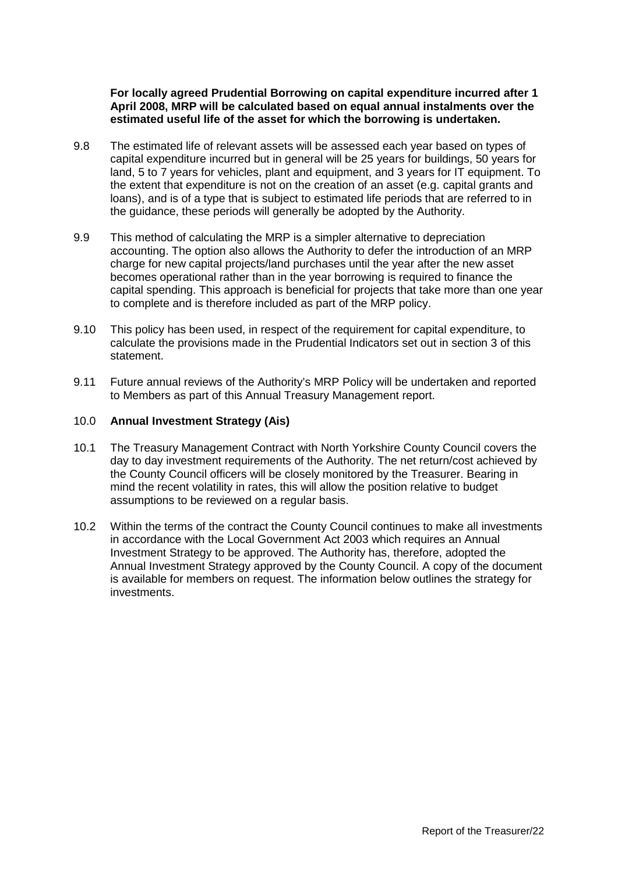**For locally agreed Prudential Borrowing on capital expenditure incurred after 1 April 2008, MRP will be calculated based on equal annual instalments over the estimated useful life of the asset for which the borrowing is undertaken.** 

- 9.8 The estimated life of relevant assets will be assessed each year based on types of capital expenditure incurred but in general will be 25 years for buildings, 50 years for land, 5 to 7 years for vehicles, plant and equipment, and 3 years for IT equipment. To the extent that expenditure is not on the creation of an asset (e.g. capital grants and loans), and is of a type that is subject to estimated life periods that are referred to in the guidance, these periods will generally be adopted by the Authority.
- 9.9 This method of calculating the MRP is a simpler alternative to depreciation accounting. The option also allows the Authority to defer the introduction of an MRP charge for new capital projects/land purchases until the year after the new asset becomes operational rather than in the year borrowing is required to finance the capital spending. This approach is beneficial for projects that take more than one year to complete and is therefore included as part of the MRP policy.
- 9.10 This policy has been used, in respect of the requirement for capital expenditure, to calculate the provisions made in the Prudential Indicators set out in section 3 of this statement.
- 9.11 Future annual reviews of the Authority's MRP Policy will be undertaken and reported to Members as part of this Annual Treasury Management report.

#### 10.0 **Annual Investment Strategy (Ais)**

- 10.1 The Treasury Management Contract with North Yorkshire County Council covers the day to day investment requirements of the Authority. The net return/cost achieved by the County Council officers will be closely monitored by the Treasurer. Bearing in mind the recent volatility in rates, this will allow the position relative to budget assumptions to be reviewed on a regular basis.
- 10.2 Within the terms of the contract the County Council continues to make all investments in accordance with the Local Government Act 2003 which requires an Annual Investment Strategy to be approved. The Authority has, therefore, adopted the Annual Investment Strategy approved by the County Council. A copy of the document is available for members on request. The information below outlines the strategy for investments.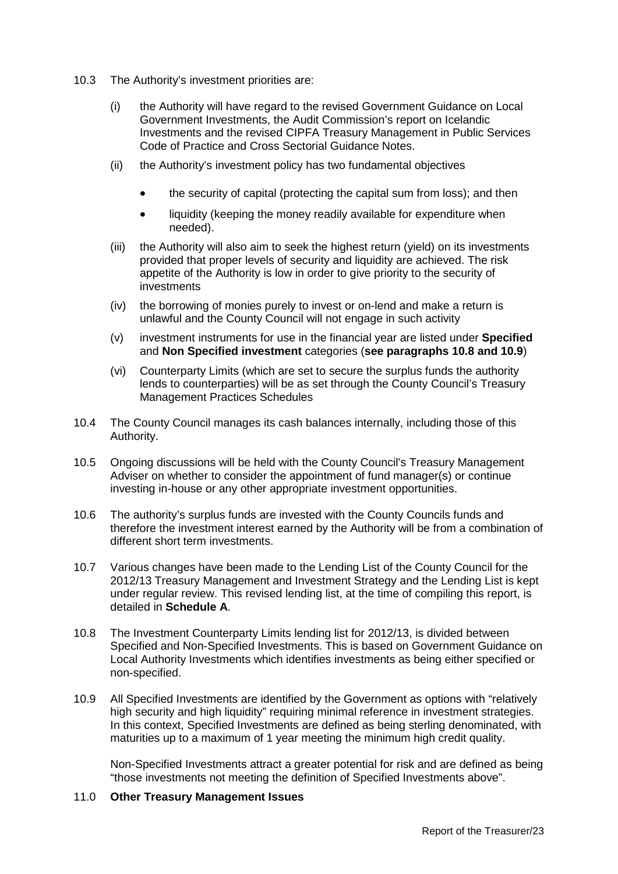- 10.3 The Authority's investment priorities are:
	- (i) the Authority will have regard to the revised Government Guidance on Local Government Investments, the Audit Commission's report on Icelandic Investments and the revised CIPFA Treasury Management in Public Services Code of Practice and Cross Sectorial Guidance Notes.
	- (ii) the Authority's investment policy has two fundamental objectives
		- the security of capital (protecting the capital sum from loss); and then
		- liquidity (keeping the money readily available for expenditure when needed).
	- (iii) the Authority will also aim to seek the highest return (yield) on its investments provided that proper levels of security and liquidity are achieved. The risk appetite of the Authority is low in order to give priority to the security of investments
	- (iv) the borrowing of monies purely to invest or on-lend and make a return is unlawful and the County Council will not engage in such activity
	- (v) investment instruments for use in the financial year are listed under **Specified**  and **Non Specified investment** categories (**see paragraphs 10.8 and 10.9**)
	- (vi) Counterparty Limits (which are set to secure the surplus funds the authority lends to counterparties) will be as set through the County Council's Treasury Management Practices Schedules
- 10.4 The County Council manages its cash balances internally, including those of this Authority.
- 10.5 Ongoing discussions will be held with the County Council's Treasury Management Adviser on whether to consider the appointment of fund manager(s) or continue investing in-house or any other appropriate investment opportunities.
- 10.6 The authority's surplus funds are invested with the County Councils funds and therefore the investment interest earned by the Authority will be from a combination of different short term investments.
- 10.7 Various changes have been made to the Lending List of the County Council for the 2012/13 Treasury Management and Investment Strategy and the Lending List is kept under regular review. This revised lending list, at the time of compiling this report, is detailed in **Schedule A**.
- 10.8 The Investment Counterparty Limits lending list for 2012/13, is divided between Specified and Non-Specified Investments. This is based on Government Guidance on Local Authority Investments which identifies investments as being either specified or non-specified.
- 10.9 All Specified Investments are identified by the Government as options with "relatively high security and high liquidity" requiring minimal reference in investment strategies. In this context, Specified Investments are defined as being sterling denominated, with maturities up to a maximum of 1 year meeting the minimum high credit quality.

Non-Specified Investments attract a greater potential for risk and are defined as being "those investments not meeting the definition of Specified Investments above".

#### 11.0 **Other Treasury Management Issues**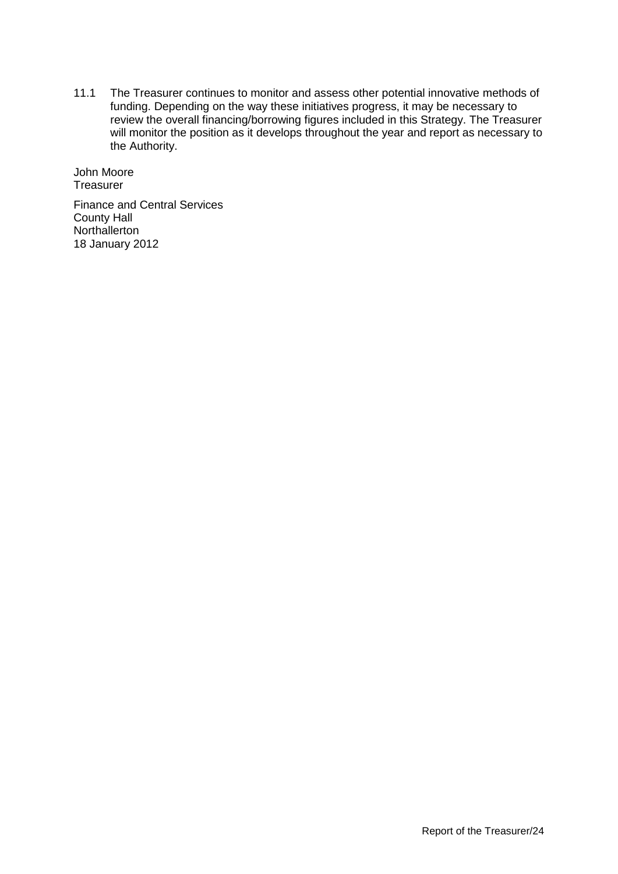11.1 The Treasurer continues to monitor and assess other potential innovative methods of funding. Depending on the way these initiatives progress, it may be necessary to review the overall financing/borrowing figures included in this Strategy. The Treasurer will monitor the position as it develops throughout the year and report as necessary to the Authority.

John Moore **Treasurer** 

Finance and Central Services County Hall **Northallerton** 18 January 2012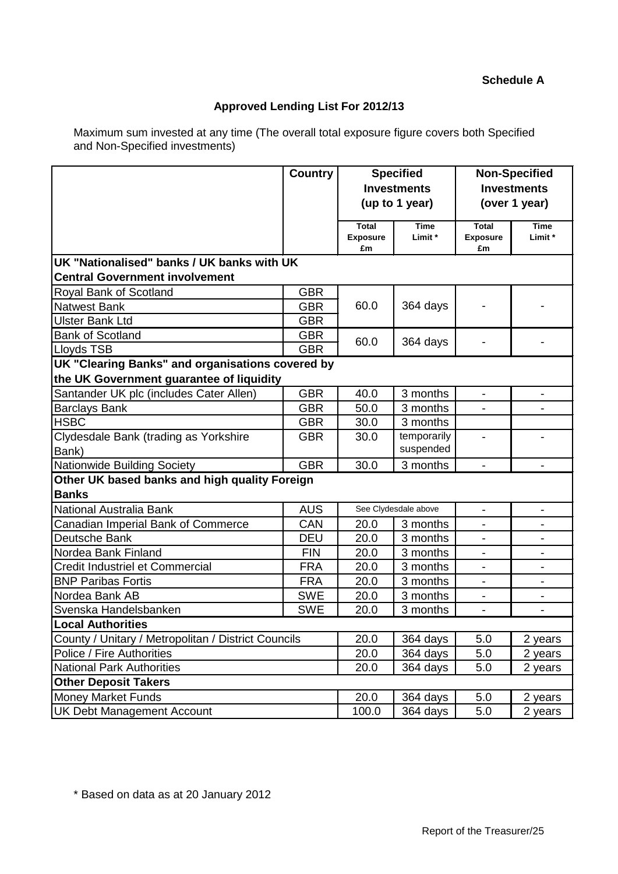# **Schedule A**

# **Approved Lending List For 2012/13**

Maximum sum invested at any time (The overall total exposure figure covers both Specified and Non-Specified investments)

|                                                     | <b>Country</b>                                                  |          | <b>Specified</b><br><b>Investments</b><br>(up to 1 year) | <b>Non-Specified</b><br><b>Investments</b><br>(over 1 year) |                          |  |
|-----------------------------------------------------|-----------------------------------------------------------------|----------|----------------------------------------------------------|-------------------------------------------------------------|--------------------------|--|
|                                                     | <b>Total</b><br><b>Time</b><br><b>Exposure</b><br>Limit *<br>£m |          |                                                          |                                                             | <b>Time</b><br>Limit *   |  |
| UK "Nationalised" banks / UK banks with UK          |                                                                 |          |                                                          |                                                             |                          |  |
| <b>Central Government involvement</b>               |                                                                 |          |                                                          |                                                             |                          |  |
| Royal Bank of Scotland                              | <b>GBR</b>                                                      |          |                                                          |                                                             |                          |  |
| <b>Natwest Bank</b>                                 | <b>GBR</b>                                                      | 60.0     | 364 days                                                 |                                                             |                          |  |
| <b>Ulster Bank Ltd</b>                              | <b>GBR</b>                                                      |          |                                                          |                                                             |                          |  |
| <b>Bank of Scotland</b>                             | <b>GBR</b>                                                      | 60.0     |                                                          |                                                             |                          |  |
| Lloyds TSB                                          | <b>GBR</b>                                                      |          | 364 days                                                 |                                                             |                          |  |
| UK "Clearing Banks" and organisations covered by    |                                                                 |          |                                                          |                                                             |                          |  |
| the UK Government guarantee of liquidity            |                                                                 |          |                                                          |                                                             |                          |  |
| Santander UK plc (includes Cater Allen)             | <b>GBR</b>                                                      | 40.0     | 3 months                                                 |                                                             |                          |  |
| <b>Barclays Bank</b>                                | <b>GBR</b>                                                      | 50.0     | 3 months                                                 |                                                             |                          |  |
| <b>HSBC</b>                                         | <b>GBR</b>                                                      | 30.0     | 3 months                                                 |                                                             |                          |  |
| Clydesdale Bank (trading as Yorkshire               | <b>GBR</b>                                                      | 30.0     | temporarily                                              |                                                             |                          |  |
| Bank)                                               |                                                                 |          | suspended                                                |                                                             |                          |  |
| Nationwide Building Society                         | <b>GBR</b>                                                      | 30.0     | 3 months                                                 | $\blacksquare$                                              |                          |  |
| Other UK based banks and high quality Foreign       |                                                                 |          |                                                          |                                                             |                          |  |
| <b>Banks</b>                                        |                                                                 |          |                                                          |                                                             |                          |  |
| National Australia Bank                             | <b>AUS</b>                                                      |          | See Clydesdale above                                     |                                                             |                          |  |
| Canadian Imperial Bank of Commerce                  | CAN                                                             | 20.0     | 3 months                                                 |                                                             |                          |  |
| Deutsche Bank                                       | <b>DEU</b>                                                      | 20.0     | 3 months                                                 | Ξ.                                                          |                          |  |
| Nordea Bank Finland                                 | <b>FIN</b>                                                      | 20.0     | 3 months                                                 |                                                             |                          |  |
| Credit Industriel et Commercial                     | <b>FRA</b>                                                      | 20.0     | 3 months                                                 |                                                             |                          |  |
| <b>BNP Paribas Fortis</b>                           | <b>FRA</b>                                                      | 20.0     | 3 months                                                 |                                                             | $\overline{\phantom{a}}$ |  |
| Nordea Bank AB                                      | <b>SWE</b>                                                      | 20.0     | 3 months                                                 | -                                                           | $\overline{\phantom{a}}$ |  |
| Svenska Handelsbanken                               | <b>SWE</b>                                                      | 20.0     | 3 months                                                 |                                                             |                          |  |
| <b>Local Authorities</b>                            |                                                                 |          |                                                          |                                                             |                          |  |
| County / Unitary / Metropolitan / District Councils | 20.0                                                            | 364 days | 5.0                                                      | 2 years                                                     |                          |  |
| Police / Fire Authorities                           | 20.0                                                            | 364 days | 5.0                                                      | 2 years                                                     |                          |  |
| <b>National Park Authorities</b>                    | 20.0                                                            | 364 days | 5.0                                                      | 2 years                                                     |                          |  |
| <b>Other Deposit Takers</b>                         |                                                                 |          |                                                          |                                                             |                          |  |
| <b>Money Market Funds</b>                           | 20.0                                                            | 364 days | 5.0                                                      | 2 years                                                     |                          |  |
| <b>UK Debt Management Account</b>                   | 100.0                                                           | 364 days | 5.0                                                      | 2 years                                                     |                          |  |

\* Based on data as at 20 January 2012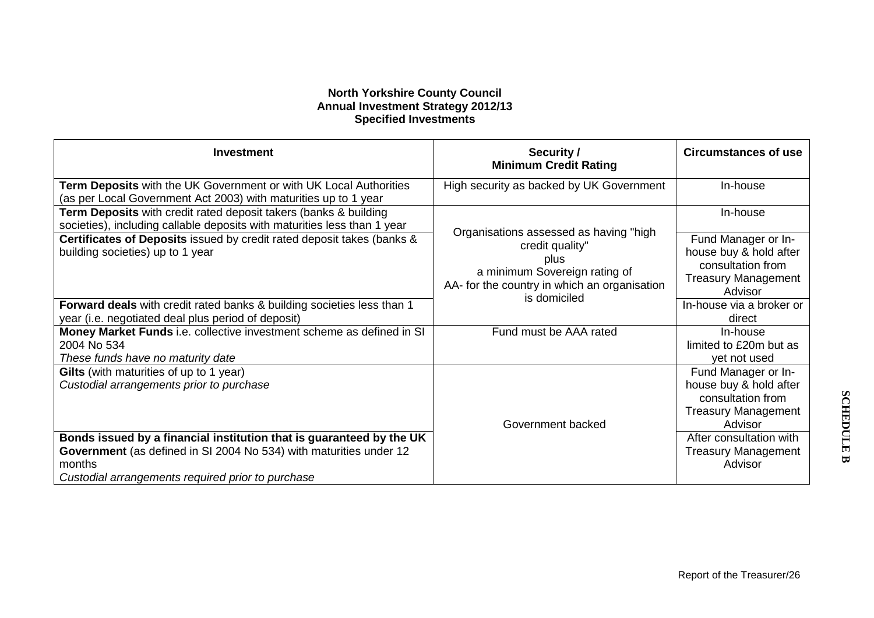# **North Yorkshire County Council Annual Investment Strategy 2012/13 Specified Investments**

| <b>Investment</b>                                                                                                                                                                                         | Security /<br><b>Minimum Credit Rating</b>                                                                                                         | <b>Circumstances of use</b>                                                                                 |
|-----------------------------------------------------------------------------------------------------------------------------------------------------------------------------------------------------------|----------------------------------------------------------------------------------------------------------------------------------------------------|-------------------------------------------------------------------------------------------------------------|
| Term Deposits with the UK Government or with UK Local Authorities<br>(as per Local Government Act 2003) with maturities up to 1 year                                                                      | High security as backed by UK Government                                                                                                           | In-house                                                                                                    |
| Term Deposits with credit rated deposit takers (banks & building<br>societies), including callable deposits with maturities less than 1 year                                                              |                                                                                                                                                    | In-house                                                                                                    |
| Certificates of Deposits issued by credit rated deposit takes (banks &<br>building societies) up to 1 year                                                                                                | Organisations assessed as having "high<br>credit quality"<br>plus<br>a minimum Sovereign rating of<br>AA- for the country in which an organisation | Fund Manager or In-<br>house buy & hold after<br>consultation from<br><b>Treasury Management</b><br>Advisor |
| <b>Forward deals</b> with credit rated banks & building societies less than 1<br>year (i.e. negotiated deal plus period of deposit)                                                                       | is domiciled                                                                                                                                       | In-house via a broker or<br>direct                                                                          |
| Money Market Funds i.e. collective investment scheme as defined in SI<br>2004 No 534<br>These funds have no maturity date                                                                                 | Fund must be AAA rated                                                                                                                             | In-house<br>limited to £20m but as<br>yet not used                                                          |
| Gilts (with maturities of up to 1 year)<br>Custodial arrangements prior to purchase                                                                                                                       | Government backed                                                                                                                                  | Fund Manager or In-<br>house buy & hold after<br>consultation from<br><b>Treasury Management</b><br>Advisor |
| Bonds issued by a financial institution that is guaranteed by the UK<br>Government (as defined in SI 2004 No 534) with maturities under 12<br>months<br>Custodial arrangements required prior to purchase |                                                                                                                                                    | After consultation with<br><b>Treasury Management</b><br>Advisor                                            |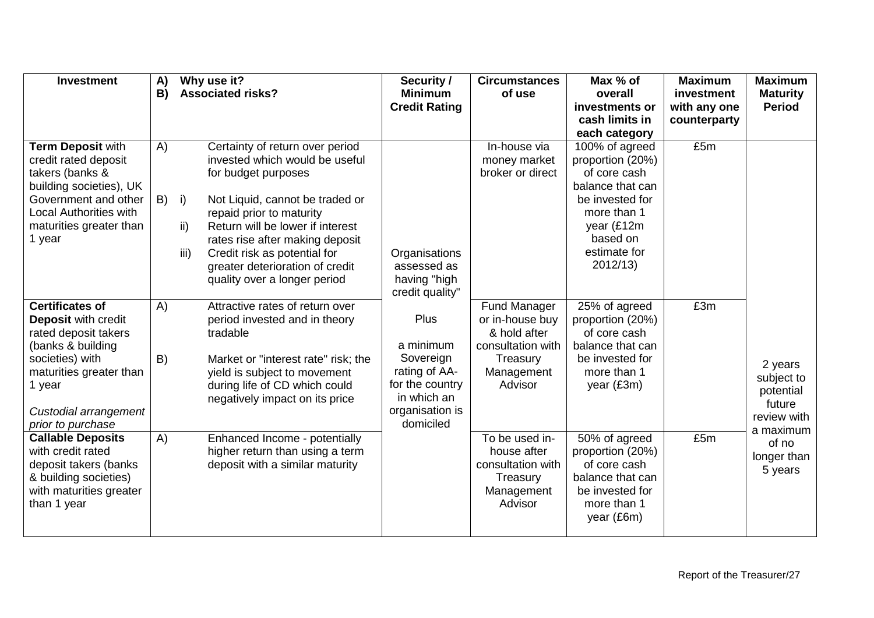| <b>Investment</b>                                                                                                                                                                                | A)<br>B) | Why use it?<br><b>Associated risks?</b>                                                                                                                                                                                                                                                                                                                | Security /<br><b>Minimum</b><br><b>Credit Rating</b>                                                              | <b>Circumstances</b><br>of use                                                                                   | Max % of<br>overall<br>investments or<br>cash limits in<br>each category                                                                                      | <b>Maximum</b><br>investment<br>with any one<br>counterparty | <b>Maximum</b><br><b>Maturity</b><br><b>Period</b>                       |
|--------------------------------------------------------------------------------------------------------------------------------------------------------------------------------------------------|----------|--------------------------------------------------------------------------------------------------------------------------------------------------------------------------------------------------------------------------------------------------------------------------------------------------------------------------------------------------------|-------------------------------------------------------------------------------------------------------------------|------------------------------------------------------------------------------------------------------------------|---------------------------------------------------------------------------------------------------------------------------------------------------------------|--------------------------------------------------------------|--------------------------------------------------------------------------|
| Term Deposit with<br>credit rated deposit<br>takers (banks &<br>building societies), UK<br>Government and other<br><b>Local Authorities with</b><br>maturities greater than<br>1 year            | A)<br>B) | Certainty of return over period<br>invested which would be useful<br>for budget purposes<br>Not Liquid, cannot be traded or<br>i)<br>repaid prior to maturity<br>ii)<br>Return will be lower if interest<br>rates rise after making deposit<br>iii)<br>Credit risk as potential for<br>greater deterioration of credit<br>quality over a longer period | Organisations<br>assessed as<br>having "high<br>credit quality"                                                   | In-house via<br>money market<br>broker or direct                                                                 | 100% of agreed<br>proportion (20%)<br>of core cash<br>balance that can<br>be invested for<br>more than 1<br>year (£12m<br>based on<br>estimate for<br>2012/13 | £5m                                                          |                                                                          |
| <b>Certificates of</b><br>Deposit with credit<br>rated deposit takers<br>(banks & building<br>societies) with<br>maturities greater than<br>1 year<br>Custodial arrangement<br>prior to purchase | A)<br>B) | Attractive rates of return over<br>period invested and in theory<br>tradable<br>Market or "interest rate" risk; the<br>yield is subject to movement<br>during life of CD which could<br>negatively impact on its price                                                                                                                                 | Plus<br>a minimum<br>Sovereign<br>rating of AA-<br>for the country<br>in which an<br>organisation is<br>domiciled | <b>Fund Manager</b><br>or in-house buy<br>& hold after<br>consultation with<br>Treasury<br>Management<br>Advisor | 25% of agreed<br>proportion (20%)<br>of core cash<br>balance that can<br>be invested for<br>more than 1<br>year (£3m)                                         | £3m                                                          | 2 years<br>subject to<br>potential<br>future<br>review with<br>a maximum |
| <b>Callable Deposits</b><br>with credit rated<br>deposit takers (banks<br>& building societies)<br>with maturities greater<br>than 1 year                                                        | A)       | Enhanced Income - potentially<br>higher return than using a term<br>deposit with a similar maturity                                                                                                                                                                                                                                                    |                                                                                                                   | To be used in-<br>house after<br>consultation with<br>Treasury<br>Management<br>Advisor                          | 50% of agreed<br>proportion (20%)<br>of core cash<br>balance that can<br>be invested for<br>more than 1<br>year (£6m)                                         | £5m                                                          | of no<br>longer than<br>5 years                                          |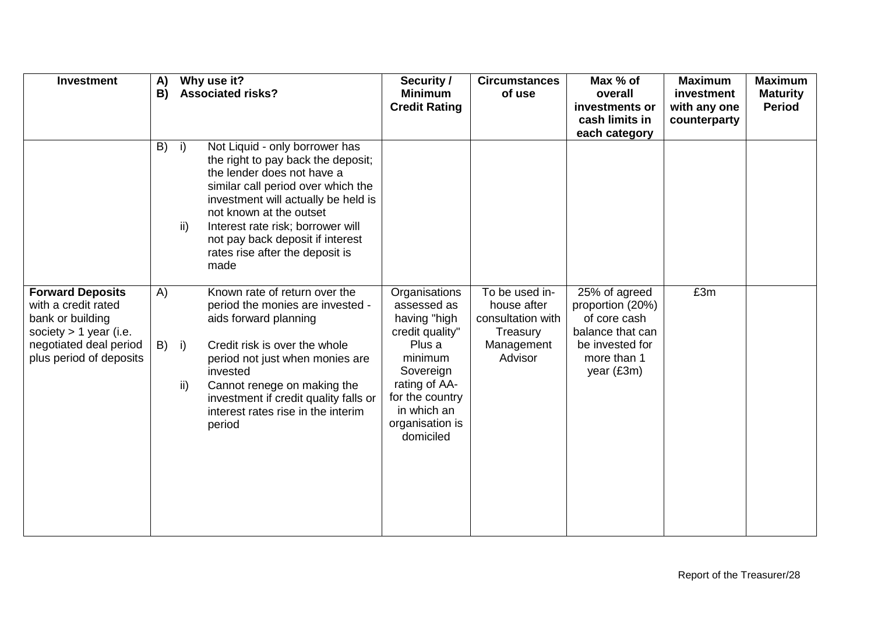| <b>Investment</b>                                                                                                                                   | A)<br>B) | Why use it?<br><b>Associated risks?</b>                                                                                                                                                                                                                                                                                                     | Security /<br><b>Minimum</b><br><b>Credit Rating</b>                                                                                                                                 | <b>Circumstances</b><br>of use                                                          | Max % of<br>overall<br>investments or<br>cash limits in<br>each category                                              | <b>Maximum</b><br>investment<br>with any one<br>counterparty | <b>Maximum</b><br><b>Maturity</b><br><b>Period</b> |
|-----------------------------------------------------------------------------------------------------------------------------------------------------|----------|---------------------------------------------------------------------------------------------------------------------------------------------------------------------------------------------------------------------------------------------------------------------------------------------------------------------------------------------|--------------------------------------------------------------------------------------------------------------------------------------------------------------------------------------|-----------------------------------------------------------------------------------------|-----------------------------------------------------------------------------------------------------------------------|--------------------------------------------------------------|----------------------------------------------------|
|                                                                                                                                                     | B)       | Not Liquid - only borrower has<br>i)<br>the right to pay back the deposit;<br>the lender does not have a<br>similar call period over which the<br>investment will actually be held is<br>not known at the outset<br>ii)<br>Interest rate risk; borrower will<br>not pay back deposit if interest<br>rates rise after the deposit is<br>made |                                                                                                                                                                                      |                                                                                         |                                                                                                                       |                                                              |                                                    |
| <b>Forward Deposits</b><br>with a credit rated<br>bank or building<br>society $> 1$ year (i.e.<br>negotiated deal period<br>plus period of deposits | A)<br>B) | Known rate of return over the<br>period the monies are invested -<br>aids forward planning<br>i)<br>Credit risk is over the whole<br>period not just when monies are<br>invested<br>ii)<br>Cannot renege on making the<br>investment if credit quality falls or<br>interest rates rise in the interim<br>period                             | Organisations<br>assessed as<br>having "high<br>credit quality"<br>Plus a<br>minimum<br>Sovereign<br>rating of AA-<br>for the country<br>in which an<br>organisation is<br>domiciled | To be used in-<br>house after<br>consultation with<br>Treasury<br>Management<br>Advisor | 25% of agreed<br>proportion (20%)<br>of core cash<br>balance that can<br>be invested for<br>more than 1<br>year (£3m) | £3m                                                          |                                                    |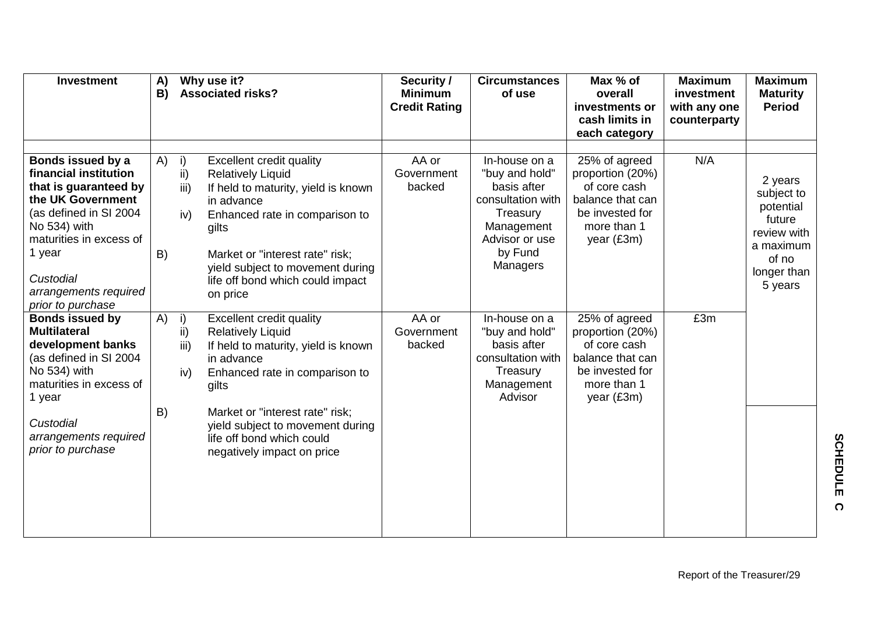| <b>Investment</b>                                                                                                                                                                                                                  | A)<br>B) | Why use it?<br><b>Associated risks?</b> |                                                                                                                                                                                                                                                                                        | Security /<br><b>Minimum</b><br><b>Credit Rating</b> | <b>Circumstances</b><br>of use                                                                                                         | Max % of<br>overall<br>investments or<br>cash limits in<br>each category                                              | <b>Maximum</b><br>investment<br>with any one<br>counterparty | <b>Maximum</b><br><b>Maturity</b><br><b>Period</b>                                                          |
|------------------------------------------------------------------------------------------------------------------------------------------------------------------------------------------------------------------------------------|----------|-----------------------------------------|----------------------------------------------------------------------------------------------------------------------------------------------------------------------------------------------------------------------------------------------------------------------------------------|------------------------------------------------------|----------------------------------------------------------------------------------------------------------------------------------------|-----------------------------------------------------------------------------------------------------------------------|--------------------------------------------------------------|-------------------------------------------------------------------------------------------------------------|
| Bonds issued by a<br>financial institution<br>that is guaranteed by<br>the UK Government<br>(as defined in SI 2004<br>No 534) with<br>maturities in excess of<br>1 year<br>Custodial<br>arrangements required<br>prior to purchase | A)<br>B) | i)<br>ii)<br>iii)<br>iv)                | Excellent credit quality<br><b>Relatively Liquid</b><br>If held to maturity, yield is known<br>in advance<br>Enhanced rate in comparison to<br>gilts<br>Market or "interest rate" risk;<br>yield subject to movement during<br>life off bond which could impact<br>on price            | AA or<br>Government<br>backed                        | In-house on a<br>"buy and hold"<br>basis after<br>consultation with<br>Treasury<br>Management<br>Advisor or use<br>by Fund<br>Managers | 25% of agreed<br>proportion (20%)<br>of core cash<br>balance that can<br>be invested for<br>more than 1<br>year (£3m) | N/A                                                          | 2 years<br>subject to<br>potential<br>future<br>review with<br>a maximum<br>of no<br>longer than<br>5 years |
| <b>Bonds issued by</b><br><b>Multilateral</b><br>development banks<br>(as defined in SI 2004<br>No 534) with<br>maturities in excess of<br>1 year<br>Custodial<br>arrangements required<br>prior to purchase                       | A)<br>B) | i)<br>ii)<br>iii)<br>iv)                | Excellent credit quality<br><b>Relatively Liquid</b><br>If held to maturity, yield is known<br>in advance<br>Enhanced rate in comparison to<br>gilts<br>Market or "interest rate" risk;<br>yield subject to movement during<br>life off bond which could<br>negatively impact on price | AA or<br>Government<br>backed                        | In-house on a<br>"buy and hold"<br>basis after<br>consultation with<br>Treasury<br>Management<br>Advisor                               | 25% of agreed<br>proportion (20%)<br>of core cash<br>balance that can<br>be invested for<br>more than 1<br>year (£3m) | £3m                                                          |                                                                                                             |